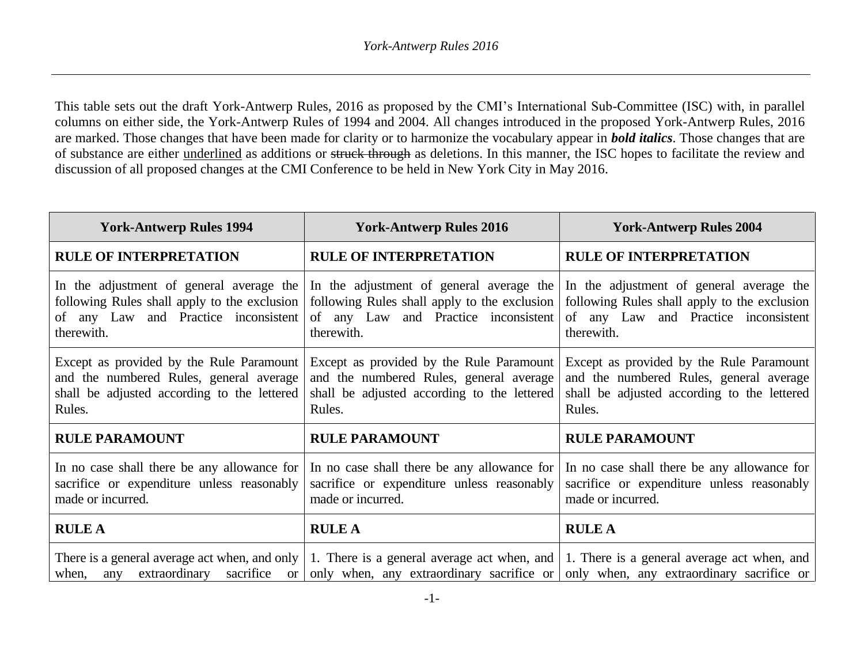This table sets out the draft York-Antwerp Rules, 2016 as proposed by the CMI's International Sub-Committee (ISC) with, in parallel columns on either side, the York-Antwerp Rules of 1994 and 2004. All changes introduced in the proposed York-Antwerp Rules, 2016 are marked. Those changes that have been made for clarity or to harmonize the vocabulary appear in *bold italics*. Those changes that are of substance are either underlined as additions or struck through as deletions. In this manner, the ISC hopes to facilitate the review and discussion of all proposed changes at the CMI Conference to be held in New York City in May 2016.

| <b>York-Antwerp Rules 1994</b>                                                                                                               | <b>York-Antwerp Rules 2016</b>                                                                                                                                                                                                   | <b>York-Antwerp Rules 2004</b>                                                                                                               |
|----------------------------------------------------------------------------------------------------------------------------------------------|----------------------------------------------------------------------------------------------------------------------------------------------------------------------------------------------------------------------------------|----------------------------------------------------------------------------------------------------------------------------------------------|
| <b>RULE OF INTERPRETATION</b>                                                                                                                | <b>RULE OF INTERPRETATION</b>                                                                                                                                                                                                    | <b>RULE OF INTERPRETATION</b>                                                                                                                |
| following Rules shall apply to the exclusion<br>of any Law and Practice inconsistent<br>therewith.                                           | In the adjustment of general average the In the adjustment of general average the In the adjustment of general average the<br>following Rules shall apply to the exclusion<br>of any Law and Practice inconsistent<br>therewith. | following Rules shall apply to the exclusion<br>of any Law and Practice inconsistent<br>therewith.                                           |
| Except as provided by the Rule Paramount<br>and the numbered Rules, general average<br>shall be adjusted according to the lettered<br>Rules. | Except as provided by the Rule Paramount<br>and the numbered Rules, general average<br>shall be adjusted according to the lettered<br>Rules.                                                                                     | Except as provided by the Rule Paramount<br>and the numbered Rules, general average<br>shall be adjusted according to the lettered<br>Rules. |
| <b>RULE PARAMOUNT</b>                                                                                                                        | <b>RULE PARAMOUNT</b>                                                                                                                                                                                                            | <b>RULE PARAMOUNT</b>                                                                                                                        |
| In no case shall there be any allowance for<br>sacrifice or expenditure unless reasonably<br>made or incurred.                               | In no case shall there be any allowance for<br>sacrifice or expenditure unless reasonably<br>made or incurred.                                                                                                                   | In no case shall there be any allowance for<br>sacrifice or expenditure unless reasonably<br>made or incurred.                               |
| <b>RULE A</b>                                                                                                                                | <b>RULE A</b>                                                                                                                                                                                                                    | <b>RULE A</b>                                                                                                                                |
| There is a general average act when, and only<br>extraordinary sacrifice<br>when, any<br>or                                                  | 1. There is a general average act when, and<br>only when, any extraordinary sacrifice or                                                                                                                                         | 1. There is a general average act when, and<br>only when, any extraordinary sacrifice or                                                     |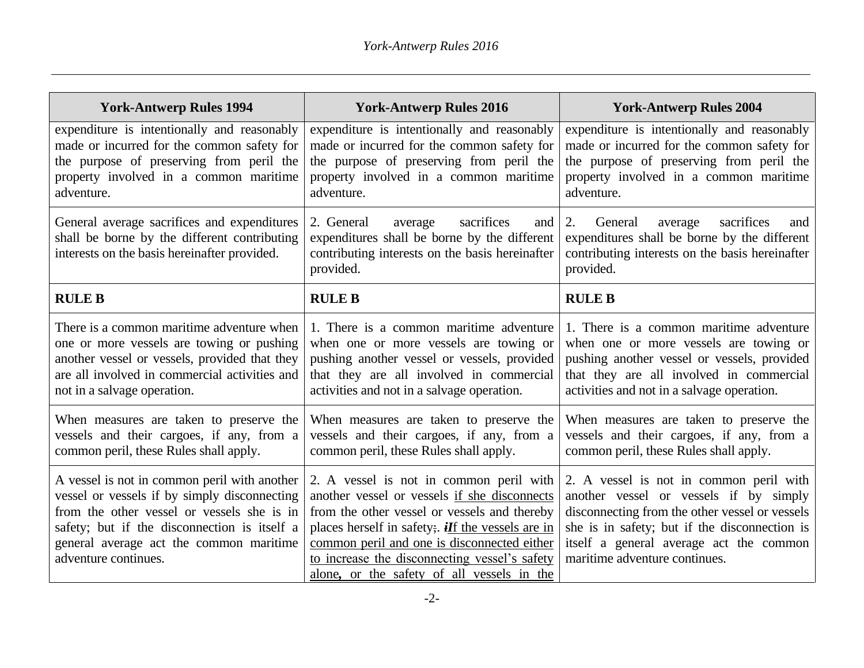| <b>York-Antwerp Rules 1994</b>                                                                                                                                                                                                                                | <b>York-Antwerp Rules 2016</b>                                                                                                                                                                                                                                                                                                                   | <b>York-Antwerp Rules 2004</b>                                                                                                                                                                                                                                   |
|---------------------------------------------------------------------------------------------------------------------------------------------------------------------------------------------------------------------------------------------------------------|--------------------------------------------------------------------------------------------------------------------------------------------------------------------------------------------------------------------------------------------------------------------------------------------------------------------------------------------------|------------------------------------------------------------------------------------------------------------------------------------------------------------------------------------------------------------------------------------------------------------------|
| expenditure is intentionally and reasonably<br>made or incurred for the common safety for<br>the purpose of preserving from peril the<br>property involved in a common maritime<br>adventure.                                                                 | expenditure is intentionally and reasonably<br>made or incurred for the common safety for<br>the purpose of preserving from peril the<br>property involved in a common maritime<br>adventure.                                                                                                                                                    | expenditure is intentionally and reasonably<br>made or incurred for the common safety for<br>the purpose of preserving from peril the<br>property involved in a common maritime<br>adventure.                                                                    |
| General average sacrifices and expenditures<br>shall be borne by the different contributing<br>interests on the basis hereinafter provided.                                                                                                                   | 2. General<br>sacrifices<br>average<br>and<br>expenditures shall be borne by the different<br>contributing interests on the basis hereinafter<br>provided.                                                                                                                                                                                       | 2.<br>General<br>sacrifices<br>average<br>and<br>expenditures shall be borne by the different<br>contributing interests on the basis hereinafter<br>provided.                                                                                                    |
| <b>RULE B</b>                                                                                                                                                                                                                                                 | <b>RULE B</b>                                                                                                                                                                                                                                                                                                                                    | <b>RULE B</b>                                                                                                                                                                                                                                                    |
| There is a common maritime adventure when<br>one or more vessels are towing or pushing<br>another vessel or vessels, provided that they<br>are all involved in commercial activities and<br>not in a salvage operation.                                       | 1. There is a common maritime adventure<br>when one or more vessels are towing or<br>pushing another vessel or vessels, provided<br>that they are all involved in commercial<br>activities and not in a salvage operation.                                                                                                                       | 1. There is a common maritime adventure<br>when one or more vessels are towing or<br>pushing another vessel or vessels, provided<br>that they are all involved in commercial<br>activities and not in a salvage operation.                                       |
| When measures are taken to preserve the<br>vessels and their cargoes, if any, from a<br>common peril, these Rules shall apply.                                                                                                                                | When measures are taken to preserve the<br>vessels and their cargoes, if any, from a<br>common peril, these Rules shall apply.                                                                                                                                                                                                                   | When measures are taken to preserve the<br>vessels and their cargoes, if any, from a<br>common peril, these Rules shall apply.                                                                                                                                   |
| A vessel is not in common peril with another<br>vessel or vessels if by simply disconnecting<br>from the other vessel or vessels she is in<br>safety; but if the disconnection is itself a<br>general average act the common maritime<br>adventure continues. | 2. A vessel is not in common peril with<br>another vessel or vessels if she disconnects<br>from the other vessel or vessels and thereby<br>places herself in safety; <i>iIf the vessels are in</i><br>common peril and one is disconnected either<br>to increase the disconnecting vessel's safety<br>alone, or the safety of all vessels in the | 2. A vessel is not in common peril with<br>another vessel or vessels if by simply<br>disconnecting from the other vessel or vessels<br>she is in safety; but if the disconnection is<br>itself a general average act the common<br>maritime adventure continues. |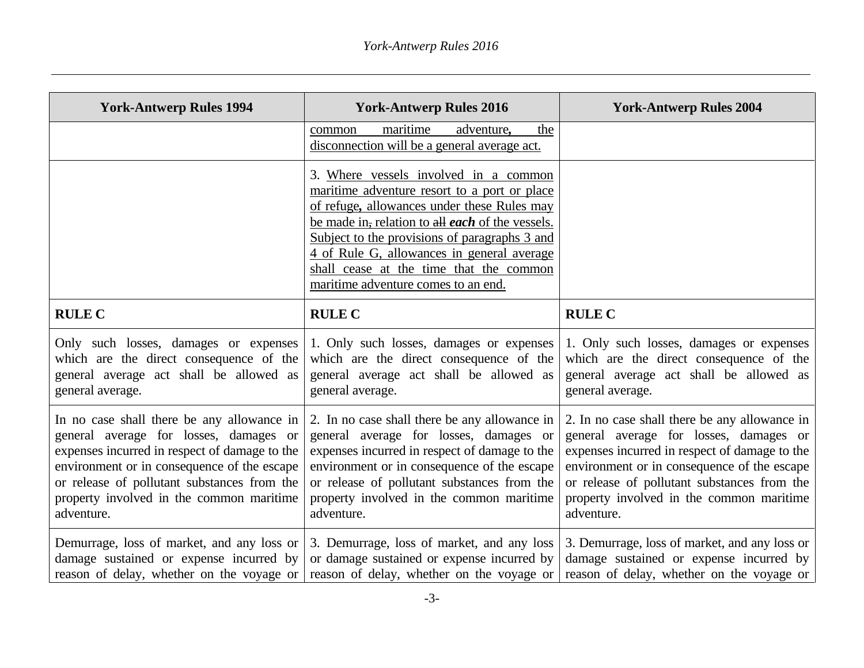| <b>York-Antwerp Rules 1994</b>                                                                                                                                                                                                                                                                | <b>York-Antwerp Rules 2016</b>                                                                                                                                                                                                                                                                                                                                            | <b>York-Antwerp Rules 2004</b>                                                                                                                                                                                                                                                                   |
|-----------------------------------------------------------------------------------------------------------------------------------------------------------------------------------------------------------------------------------------------------------------------------------------------|---------------------------------------------------------------------------------------------------------------------------------------------------------------------------------------------------------------------------------------------------------------------------------------------------------------------------------------------------------------------------|--------------------------------------------------------------------------------------------------------------------------------------------------------------------------------------------------------------------------------------------------------------------------------------------------|
|                                                                                                                                                                                                                                                                                               | maritime<br>adventure,<br>the<br>common<br>disconnection will be a general average act.                                                                                                                                                                                                                                                                                   |                                                                                                                                                                                                                                                                                                  |
|                                                                                                                                                                                                                                                                                               | 3. Where vessels involved in a common<br>maritime adventure resort to a port or place<br>of refuge, allowances under these Rules may<br>be made in, relation to all each of the vessels.<br>Subject to the provisions of paragraphs 3 and<br>4 of Rule G, allowances in general average<br>shall cease at the time that the common<br>maritime adventure comes to an end. |                                                                                                                                                                                                                                                                                                  |
| <b>RULE C</b>                                                                                                                                                                                                                                                                                 | <b>RULE C</b>                                                                                                                                                                                                                                                                                                                                                             | <b>RULE C</b>                                                                                                                                                                                                                                                                                    |
| Only such losses, damages or expenses<br>which are the direct consequence of the<br>general average act shall be allowed as<br>general average.                                                                                                                                               | 1. Only such losses, damages or expenses<br>which are the direct consequence of the<br>general average act shall be allowed as<br>general average.                                                                                                                                                                                                                        | 1. Only such losses, damages or expenses<br>which are the direct consequence of the<br>general average act shall be allowed as<br>general average.                                                                                                                                               |
| In no case shall there be any allowance in<br>general average for losses, damages or<br>expenses incurred in respect of damage to the<br>environment or in consequence of the escape<br>or release of pollutant substances from the<br>property involved in the common maritime<br>adventure. | 2. In no case shall there be any allowance in<br>general average for losses, damages or<br>expenses incurred in respect of damage to the<br>environment or in consequence of the escape<br>or release of pollutant substances from the<br>property involved in the common maritime<br>adventure.                                                                          | 2. In no case shall there be any allowance in<br>general average for losses, damages or<br>expenses incurred in respect of damage to the<br>environment or in consequence of the escape<br>or release of pollutant substances from the<br>property involved in the common maritime<br>adventure. |
| Demurrage, loss of market, and any loss or<br>damage sustained or expense incurred by<br>reason of delay, whether on the voyage or                                                                                                                                                            | 3. Demurrage, loss of market, and any loss<br>or damage sustained or expense incurred by<br>reason of delay, whether on the voyage or                                                                                                                                                                                                                                     | 3. Demurrage, loss of market, and any loss or<br>damage sustained or expense incurred by<br>reason of delay, whether on the voyage or                                                                                                                                                            |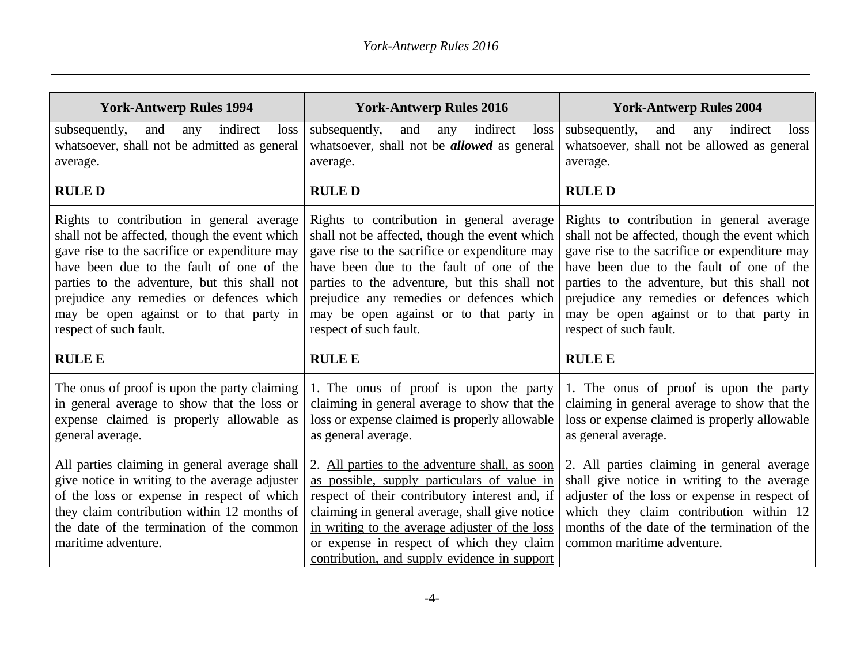| <b>York-Antwerp Rules 1994</b>                                                                                                                                                                                                                                                                                                                           | <b>York-Antwerp Rules 2016</b>                                                                                                                                                                                                                                                                                                                           | <b>York-Antwerp Rules 2004</b>                                                                                                                                                                                                                                                                                                                           |
|----------------------------------------------------------------------------------------------------------------------------------------------------------------------------------------------------------------------------------------------------------------------------------------------------------------------------------------------------------|----------------------------------------------------------------------------------------------------------------------------------------------------------------------------------------------------------------------------------------------------------------------------------------------------------------------------------------------------------|----------------------------------------------------------------------------------------------------------------------------------------------------------------------------------------------------------------------------------------------------------------------------------------------------------------------------------------------------------|
| indirect<br>subsequently,<br>and<br>any<br>loss<br>whatsoever, shall not be admitted as general<br>average.                                                                                                                                                                                                                                              | subsequently,<br>indirect<br>and<br>any<br>loss<br>whatsoever, shall not be <i>allowed</i> as general<br>average.                                                                                                                                                                                                                                        | subsequently,<br>and<br>indirect<br>loss<br>any<br>whatsoever, shall not be allowed as general<br>average.                                                                                                                                                                                                                                               |
| <b>RULED</b>                                                                                                                                                                                                                                                                                                                                             | <b>RULED</b>                                                                                                                                                                                                                                                                                                                                             | <b>RULED</b>                                                                                                                                                                                                                                                                                                                                             |
| Rights to contribution in general average<br>shall not be affected, though the event which<br>gave rise to the sacrifice or expenditure may<br>have been due to the fault of one of the<br>parties to the adventure, but this shall not<br>prejudice any remedies or defences which<br>may be open against or to that party in<br>respect of such fault. | Rights to contribution in general average<br>shall not be affected, though the event which<br>gave rise to the sacrifice or expenditure may<br>have been due to the fault of one of the<br>parties to the adventure, but this shall not<br>prejudice any remedies or defences which<br>may be open against or to that party in<br>respect of such fault. | Rights to contribution in general average<br>shall not be affected, though the event which<br>gave rise to the sacrifice or expenditure may<br>have been due to the fault of one of the<br>parties to the adventure, but this shall not<br>prejudice any remedies or defences which<br>may be open against or to that party in<br>respect of such fault. |
| <b>RULE E</b>                                                                                                                                                                                                                                                                                                                                            | <b>RULE E</b>                                                                                                                                                                                                                                                                                                                                            | <b>RULE E</b>                                                                                                                                                                                                                                                                                                                                            |
| The onus of proof is upon the party claiming<br>in general average to show that the loss or<br>expense claimed is properly allowable as<br>general average.                                                                                                                                                                                              | 1. The onus of proof is upon the party<br>claiming in general average to show that the<br>loss or expense claimed is properly allowable<br>as general average.                                                                                                                                                                                           | 1. The onus of proof is upon the party<br>claiming in general average to show that the<br>loss or expense claimed is properly allowable<br>as general average.                                                                                                                                                                                           |
| All parties claiming in general average shall<br>give notice in writing to the average adjuster<br>of the loss or expense in respect of which<br>they claim contribution within 12 months of<br>the date of the termination of the common<br>maritime adventure.                                                                                         | 2. All parties to the adventure shall, as soon<br>as possible, supply particulars of value in<br>respect of their contributory interest and, if<br>claiming in general average, shall give notice<br>in writing to the average adjuster of the loss<br>or expense in respect of which they claim<br>contribution, and supply evidence in support         | 2. All parties claiming in general average<br>shall give notice in writing to the average<br>adjuster of the loss or expense in respect of<br>which they claim contribution within 12<br>months of the date of the termination of the<br>common maritime adventure.                                                                                      |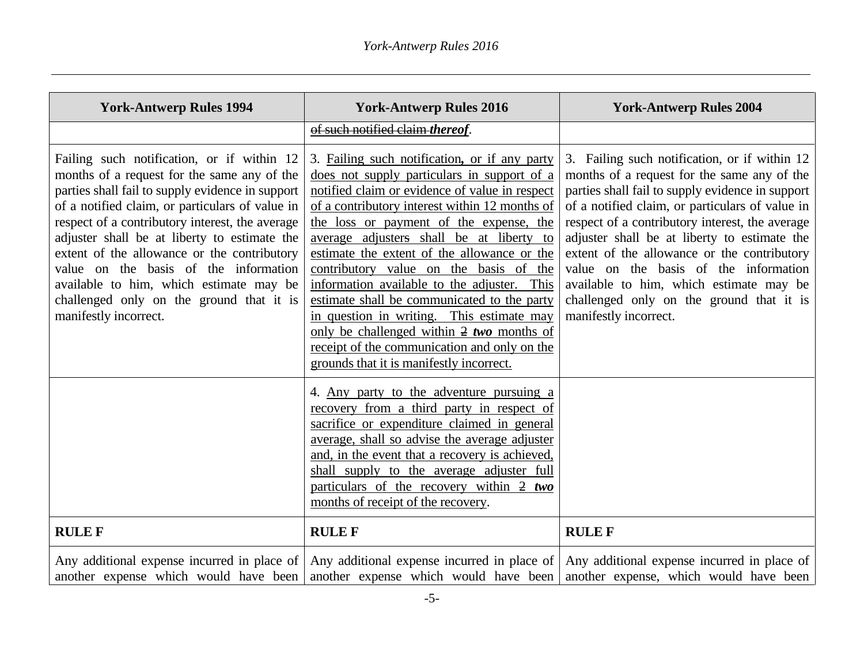| <b>York-Antwerp Rules 1994</b>                                                                                                                                                                                                                                                                                                                                                                                                                                                                              | <b>York-Antwerp Rules 2016</b>                                                                                                                                                                                                                                                                                                                                                                                                                                                                                                                                                                                                                                         | <b>York-Antwerp Rules 2004</b>                                                                                                                                                                                                                                                                                                                                                                                                                                                                                 |
|-------------------------------------------------------------------------------------------------------------------------------------------------------------------------------------------------------------------------------------------------------------------------------------------------------------------------------------------------------------------------------------------------------------------------------------------------------------------------------------------------------------|------------------------------------------------------------------------------------------------------------------------------------------------------------------------------------------------------------------------------------------------------------------------------------------------------------------------------------------------------------------------------------------------------------------------------------------------------------------------------------------------------------------------------------------------------------------------------------------------------------------------------------------------------------------------|----------------------------------------------------------------------------------------------------------------------------------------------------------------------------------------------------------------------------------------------------------------------------------------------------------------------------------------------------------------------------------------------------------------------------------------------------------------------------------------------------------------|
|                                                                                                                                                                                                                                                                                                                                                                                                                                                                                                             | of such notified claim thereof.                                                                                                                                                                                                                                                                                                                                                                                                                                                                                                                                                                                                                                        |                                                                                                                                                                                                                                                                                                                                                                                                                                                                                                                |
| Failing such notification, or if within 12<br>months of a request for the same any of the<br>parties shall fail to supply evidence in support<br>of a notified claim, or particulars of value in<br>respect of a contributory interest, the average<br>adjuster shall be at liberty to estimate the<br>extent of the allowance or the contributory<br>value on the basis of the information<br>available to him, which estimate may be<br>challenged only on the ground that it is<br>manifestly incorrect. | 3. Failing such notification, or if any party<br>does not supply particulars in support of a<br>notified claim or evidence of value in respect<br>of a contributory interest within 12 months of<br>the loss or payment of the expense, the<br>average adjusters shall be at liberty to<br>estimate the extent of the allowance or the<br>contributory value on the basis of the<br>information available to the adjuster. This<br>estimate shall be communicated to the party<br>in question in writing. This estimate may<br>only be challenged within $2$ two months of<br>receipt of the communication and only on the<br>grounds that it is manifestly incorrect. | 3. Failing such notification, or if within 12<br>months of a request for the same any of the<br>parties shall fail to supply evidence in support<br>of a notified claim, or particulars of value in<br>respect of a contributory interest, the average<br>adjuster shall be at liberty to estimate the<br>extent of the allowance or the contributory<br>value on the basis of the information<br>available to him, which estimate may be<br>challenged only on the ground that it is<br>manifestly incorrect. |
|                                                                                                                                                                                                                                                                                                                                                                                                                                                                                                             | 4. Any party to the adventure pursuing a<br>recovery from a third party in respect of<br>sacrifice or expenditure claimed in general<br>average, shall so advise the average adjuster<br>and, in the event that a recovery is achieved,<br>shall supply to the average adjuster full<br>particulars of the recovery within 2 two<br>months of receipt of the recovery.                                                                                                                                                                                                                                                                                                 |                                                                                                                                                                                                                                                                                                                                                                                                                                                                                                                |
| <b>RULE F</b>                                                                                                                                                                                                                                                                                                                                                                                                                                                                                               | <b>RULE F</b>                                                                                                                                                                                                                                                                                                                                                                                                                                                                                                                                                                                                                                                          | <b>RULE F</b>                                                                                                                                                                                                                                                                                                                                                                                                                                                                                                  |
| Any additional expense incurred in place of<br>another expense which would have been                                                                                                                                                                                                                                                                                                                                                                                                                        |                                                                                                                                                                                                                                                                                                                                                                                                                                                                                                                                                                                                                                                                        | Any additional expense incurred in place of Any additional expense incurred in place of<br>another expense which would have been another expense, which would have been                                                                                                                                                                                                                                                                                                                                        |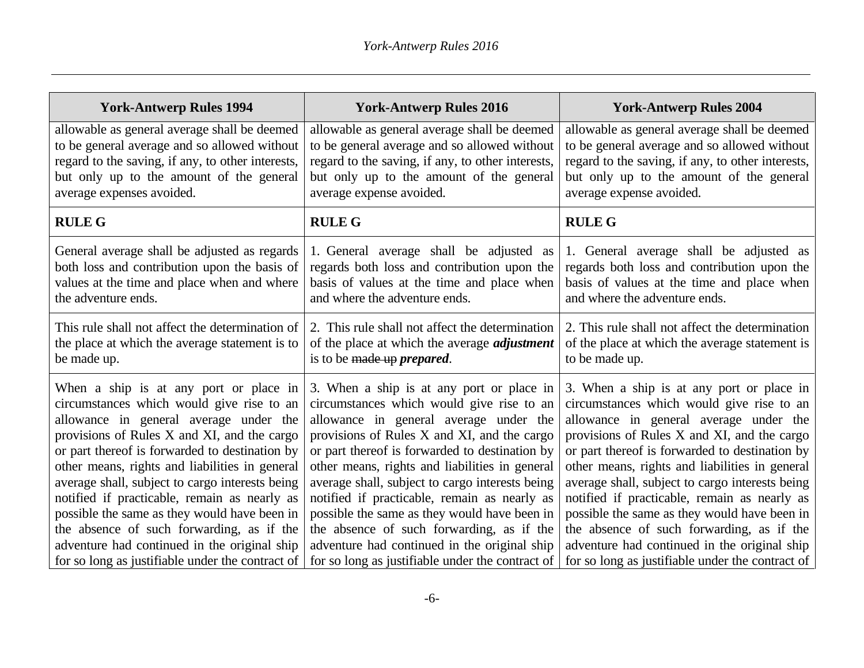| <b>York-Antwerp Rules 1994</b>                    | <b>York-Antwerp Rules 2016</b>                      | <b>York-Antwerp Rules 2004</b>                    |
|---------------------------------------------------|-----------------------------------------------------|---------------------------------------------------|
| allowable as general average shall be deemed      | allowable as general average shall be deemed        | allowable as general average shall be deemed      |
| to be general average and so allowed without      | to be general average and so allowed without        | to be general average and so allowed without      |
| regard to the saving, if any, to other interests, | regard to the saving, if any, to other interests,   | regard to the saving, if any, to other interests, |
| but only up to the amount of the general          | but only up to the amount of the general            | but only up to the amount of the general          |
| average expenses avoided.                         | average expense avoided.                            | average expense avoided.                          |
| <b>RULE G</b>                                     | <b>RULE G</b>                                       | <b>RULE G</b>                                     |
| General average shall be adjusted as regards      | 1. General average shall be adjusted as             | 1. General average shall be adjusted as           |
| both loss and contribution upon the basis of      | regards both loss and contribution upon the         | regards both loss and contribution upon the       |
| values at the time and place when and where       | basis of values at the time and place when          | basis of values at the time and place when        |
| the adventure ends.                               | and where the adventure ends.                       | and where the adventure ends.                     |
| This rule shall not affect the determination of   | 2. This rule shall not affect the determination     | 2. This rule shall not affect the determination   |
| the place at which the average statement is to    | of the place at which the average <i>adjustment</i> | of the place at which the average statement is    |
| be made up.                                       | is to be made up <i>prepared</i> .                  | to be made up.                                    |
| When a ship is at any port or place in            | 3. When a ship is at any port or place in           | 3. When a ship is at any port or place in         |
| circumstances which would give rise to an         | circumstances which would give rise to an           | circumstances which would give rise to an         |
| allowance in general average under the            | allowance in general average under the              | allowance in general average under the            |
| provisions of Rules X and XI, and the cargo       | provisions of Rules X and XI, and the cargo         | provisions of Rules X and XI, and the cargo       |
| or part thereof is forwarded to destination by    | or part thereof is forwarded to destination by      | or part thereof is forwarded to destination by    |
| other means, rights and liabilities in general    | other means, rights and liabilities in general      | other means, rights and liabilities in general    |
| average shall, subject to cargo interests being   | average shall, subject to cargo interests being     | average shall, subject to cargo interests being   |
| notified if practicable, remain as nearly as      | notified if practicable, remain as nearly as        | notified if practicable, remain as nearly as      |
| possible the same as they would have been in      | possible the same as they would have been in        | possible the same as they would have been in      |
| the absence of such forwarding, as if the         | the absence of such forwarding, as if the           | the absence of such forwarding, as if the         |
| adventure had continued in the original ship      | adventure had continued in the original ship        | adventure had continued in the original ship      |
| for so long as justifiable under the contract of  | for so long as justifiable under the contract of    | for so long as justifiable under the contract of  |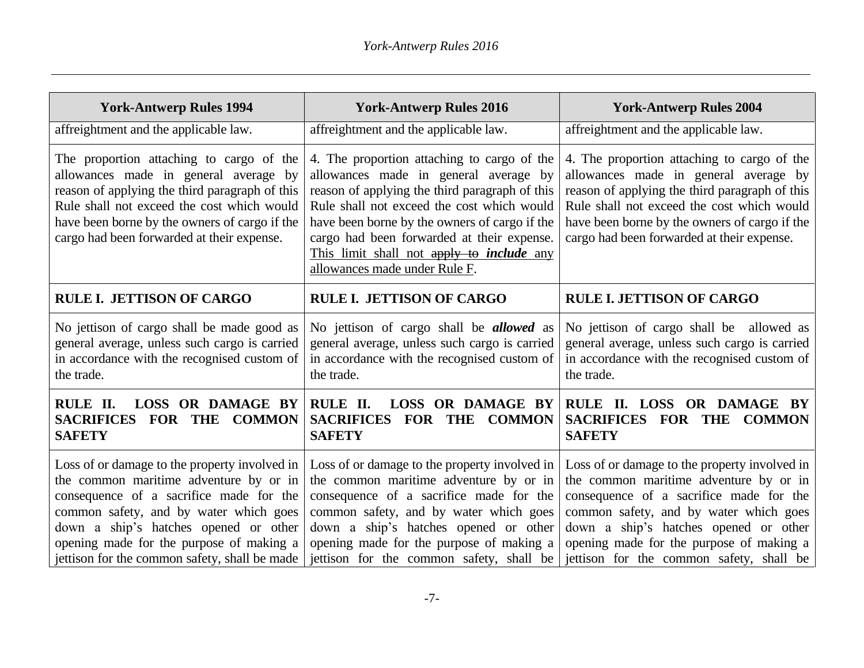| <b>York-Antwerp Rules 1994</b>                                                                                                                                                                                                                                                                                     | <b>York-Antwerp Rules 2016</b>                                                                                                                                                                                                                                                                                                                                           | <b>York-Antwerp Rules 2004</b>                                                                                                                                                                                                                                                                                |
|--------------------------------------------------------------------------------------------------------------------------------------------------------------------------------------------------------------------------------------------------------------------------------------------------------------------|--------------------------------------------------------------------------------------------------------------------------------------------------------------------------------------------------------------------------------------------------------------------------------------------------------------------------------------------------------------------------|---------------------------------------------------------------------------------------------------------------------------------------------------------------------------------------------------------------------------------------------------------------------------------------------------------------|
| affreightment and the applicable law.                                                                                                                                                                                                                                                                              | affreightment and the applicable law.                                                                                                                                                                                                                                                                                                                                    | affreightment and the applicable law.                                                                                                                                                                                                                                                                         |
| The proportion attaching to cargo of the<br>allowances made in general average by<br>reason of applying the third paragraph of this<br>Rule shall not exceed the cost which would<br>have been borne by the owners of cargo if the<br>cargo had been forwarded at their expense.                                   | 4. The proportion attaching to cargo of the<br>allowances made in general average by<br>reason of applying the third paragraph of this<br>Rule shall not exceed the cost which would<br>have been borne by the owners of cargo if the<br>cargo had been forwarded at their expense.<br>This limit shall not apply to <i>include</i> any<br>allowances made under Rule F. | 4. The proportion attaching to cargo of the<br>allowances made in general average by<br>reason of applying the third paragraph of this<br>Rule shall not exceed the cost which would<br>have been borne by the owners of cargo if the<br>cargo had been forwarded at their expense.                           |
| <b>RULE I. JETTISON OF CARGO</b>                                                                                                                                                                                                                                                                                   | <b>RULE I. JETTISON OF CARGO</b>                                                                                                                                                                                                                                                                                                                                         | <b>RULE I. JETTISON OF CARGO</b>                                                                                                                                                                                                                                                                              |
| No jettison of cargo shall be made good as<br>general average, unless such cargo is carried<br>in accordance with the recognised custom of<br>the trade.                                                                                                                                                           | No jettison of cargo shall be <i>allowed</i> as<br>general average, unless such cargo is carried<br>in accordance with the recognised custom of<br>the trade.                                                                                                                                                                                                            | No jettison of cargo shall be allowed as<br>general average, unless such cargo is carried<br>in accordance with the recognised custom of<br>the trade.                                                                                                                                                        |
| RULE II.<br>LOSS OR DAMAGE BY<br>SACRIFICES FOR THE COMMON<br><b>SAFETY</b>                                                                                                                                                                                                                                        | RULE II.<br><b>LOSS OR DAMAGE BY</b><br><b>SACRIFICES</b><br>FOR THE COMMON<br><b>SAFETY</b>                                                                                                                                                                                                                                                                             | RULE II. LOSS OR DAMAGE BY<br>SACRIFICES FOR THE COMMON<br><b>SAFETY</b>                                                                                                                                                                                                                                      |
| Loss of or damage to the property involved in<br>the common maritime adventure by or in<br>consequence of a sacrifice made for the<br>common safety, and by water which goes<br>down a ship's hatches opened or other<br>opening made for the purpose of making a<br>jettison for the common safety, shall be made | Loss of or damage to the property involved in<br>the common maritime adventure by or in<br>consequence of a sacrifice made for the<br>common safety, and by water which goes<br>down a ship's hatches opened or other<br>opening made for the purpose of making a<br>jettison for the common safety, shall be                                                            | Loss of or damage to the property involved in<br>the common maritime adventure by or in<br>consequence of a sacrifice made for the<br>common safety, and by water which goes<br>down a ship's hatches opened or other<br>opening made for the purpose of making a<br>jettison for the common safety, shall be |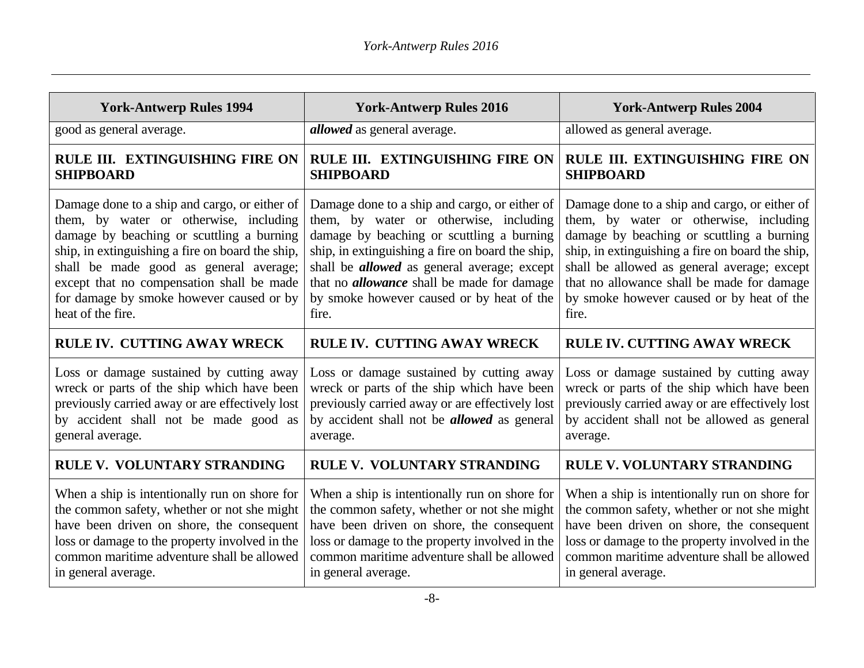| <b>York-Antwerp Rules 1994</b>                   | <b>York-Antwerp Rules 2016</b>                     | <b>York-Antwerp Rules 2004</b>                   |
|--------------------------------------------------|----------------------------------------------------|--------------------------------------------------|
| good as general average.                         | <i>allowed</i> as general average.                 | allowed as general average.                      |
| RULE III. EXTINGUISHING FIRE ON                  | RULE III. EXTINGUISHING FIRE ON                    | RULE III. EXTINGUISHING FIRE ON                  |
| <b>SHIPBOARD</b>                                 | <b>SHIPBOARD</b>                                   | <b>SHIPBOARD</b>                                 |
| Damage done to a ship and cargo, or either of    | Damage done to a ship and cargo, or either of      | Damage done to a ship and cargo, or either of    |
| them, by water or otherwise, including           | them, by water or otherwise, including             | them, by water or otherwise, including           |
| damage by beaching or scuttling a burning        | damage by beaching or scuttling a burning          | damage by beaching or scuttling a burning        |
| ship, in extinguishing a fire on board the ship, | ship, in extinguishing a fire on board the ship,   | ship, in extinguishing a fire on board the ship, |
| shall be made good as general average;           | shall be <i>allowed</i> as general average; except | shall be allowed as general average; except      |
| except that no compensation shall be made        | that no <i>allowance</i> shall be made for damage  | that no allowance shall be made for damage       |
| for damage by smoke however caused or by         | by smoke however caused or by heat of the          | by smoke however caused or by heat of the        |
| heat of the fire.                                | fire.                                              | fire.                                            |
| <b>RULE IV. CUTTING AWAY WRECK</b>               | <b>RULE IV. CUTTING AWAY WRECK</b>                 | <b>RULE IV. CUTTING AWAY WRECK</b>               |
| Loss or damage sustained by cutting away         | Loss or damage sustained by cutting away           | Loss or damage sustained by cutting away         |
| wreck or parts of the ship which have been       | wreck or parts of the ship which have been         | wreck or parts of the ship which have been       |
| previously carried away or are effectively lost  | previously carried away or are effectively lost    | previously carried away or are effectively lost  |
| by accident shall not be made good as            | by accident shall not be <i>allowed</i> as general | by accident shall not be allowed as general      |
| general average.                                 | average.                                           | average.                                         |
| <b>RULE V. VOLUNTARY STRANDING</b>               | <b>RULE V. VOLUNTARY STRANDING</b>                 | <b>RULE V. VOLUNTARY STRANDING</b>               |
| When a ship is intentionally run on shore for    | When a ship is intentionally run on shore for      | When a ship is intentionally run on shore for    |
| the common safety, whether or not she might      | the common safety, whether or not she might        | the common safety, whether or not she might      |
| have been driven on shore, the consequent        | have been driven on shore, the consequent          | have been driven on shore, the consequent        |
| loss or damage to the property involved in the   | loss or damage to the property involved in the     | loss or damage to the property involved in the   |
| common maritime adventure shall be allowed       | common maritime adventure shall be allowed         | common maritime adventure shall be allowed       |
| in general average.                              | in general average.                                | in general average.                              |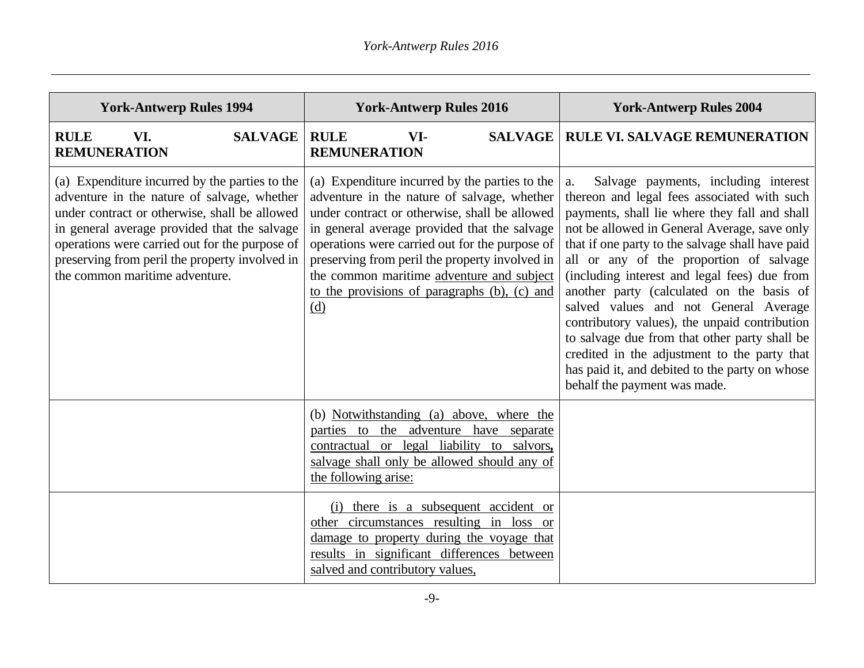| <b>York-Antwerp Rules 1994</b>                                                                                                                                                                                                                                                                                                       | <b>York-Antwerp Rules 2016</b>                                                                                                                                                                                                                                                                                                                                                                                | <b>York-Antwerp Rules 2004</b>                                                                                                                                                                                                                                                                                                                                                                                                                                                                                                                                                                                                                                      |
|--------------------------------------------------------------------------------------------------------------------------------------------------------------------------------------------------------------------------------------------------------------------------------------------------------------------------------------|---------------------------------------------------------------------------------------------------------------------------------------------------------------------------------------------------------------------------------------------------------------------------------------------------------------------------------------------------------------------------------------------------------------|---------------------------------------------------------------------------------------------------------------------------------------------------------------------------------------------------------------------------------------------------------------------------------------------------------------------------------------------------------------------------------------------------------------------------------------------------------------------------------------------------------------------------------------------------------------------------------------------------------------------------------------------------------------------|
| <b>RULE</b><br>VI.<br><b>SALVAGE</b><br><b>REMUNERATION</b>                                                                                                                                                                                                                                                                          | <b>RULE</b><br>VI-<br><b>SALVAGE</b><br><b>REMUNERATION</b>                                                                                                                                                                                                                                                                                                                                                   | <b>RULE VI. SALVAGE REMUNERATION</b>                                                                                                                                                                                                                                                                                                                                                                                                                                                                                                                                                                                                                                |
| (a) Expenditure incurred by the parties to the<br>adventure in the nature of salvage, whether<br>under contract or otherwise, shall be allowed<br>in general average provided that the salvage<br>operations were carried out for the purpose of<br>preserving from peril the property involved in<br>the common maritime adventure. | (a) Expenditure incurred by the parties to the<br>adventure in the nature of salvage, whether<br>under contract or otherwise, shall be allowed<br>in general average provided that the salvage<br>operations were carried out for the purpose of<br>preserving from peril the property involved in<br>the common maritime adventure and subject<br>to the provisions of paragraphs (b), (c) and<br><u>(d)</u> | Salvage payments, including interest<br>a.<br>thereon and legal fees associated with such<br>payments, shall lie where they fall and shall<br>not be allowed in General Average, save only<br>that if one party to the salvage shall have paid<br>all or any of the proportion of salvage<br>(including interest and legal fees) due from<br>another party (calculated on the basis of<br>salved values and not General Average<br>contributory values), the unpaid contribution<br>to salvage due from that other party shall be<br>credited in the adjustment to the party that<br>has paid it, and debited to the party on whose<br>behalf the payment was made. |
|                                                                                                                                                                                                                                                                                                                                      | (b) Notwithstanding (a) above, where the<br>parties to the adventure have separate<br>contractual or legal liability to salvors,<br>salvage shall only be allowed should any of<br>the following arise:                                                                                                                                                                                                       |                                                                                                                                                                                                                                                                                                                                                                                                                                                                                                                                                                                                                                                                     |
|                                                                                                                                                                                                                                                                                                                                      | (i) there is a subsequent accident or<br>other circumstances resulting in loss or<br>damage to property during the voyage that<br>results in significant differences between<br>salved and contributory values,                                                                                                                                                                                               |                                                                                                                                                                                                                                                                                                                                                                                                                                                                                                                                                                                                                                                                     |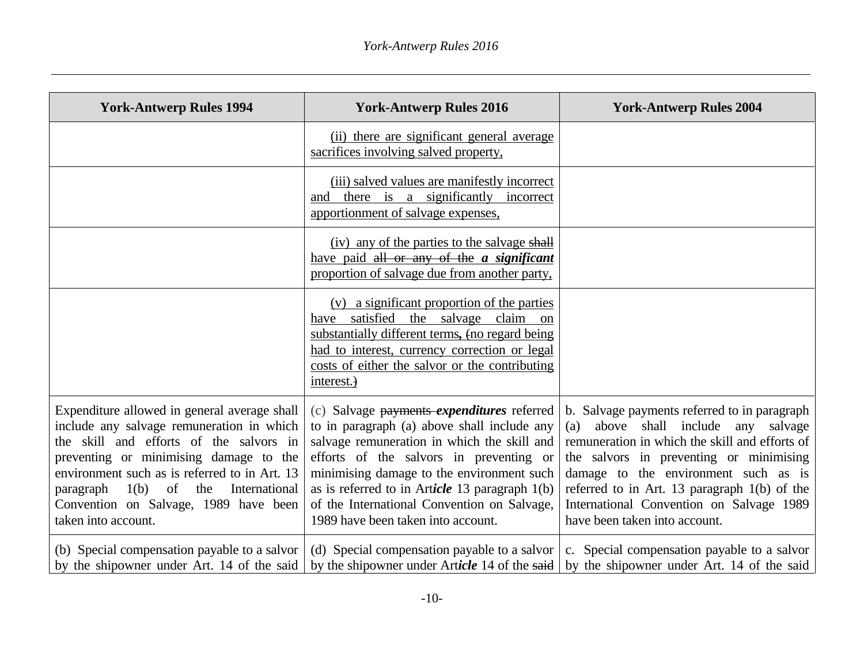| <b>York-Antwerp Rules 1994</b>                                                                                                                                                                                                                                                                                                            | <b>York-Antwerp Rules 2016</b>                                                                                                                                                                                                                                                                                                                                            | <b>York-Antwerp Rules 2004</b>                                                                                                                                                                                                                                                                                                                              |
|-------------------------------------------------------------------------------------------------------------------------------------------------------------------------------------------------------------------------------------------------------------------------------------------------------------------------------------------|---------------------------------------------------------------------------------------------------------------------------------------------------------------------------------------------------------------------------------------------------------------------------------------------------------------------------------------------------------------------------|-------------------------------------------------------------------------------------------------------------------------------------------------------------------------------------------------------------------------------------------------------------------------------------------------------------------------------------------------------------|
|                                                                                                                                                                                                                                                                                                                                           | (ii) there are significant general average<br>sacrifices involving salved property,                                                                                                                                                                                                                                                                                       |                                                                                                                                                                                                                                                                                                                                                             |
|                                                                                                                                                                                                                                                                                                                                           | (iii) salved values are manifestly incorrect<br>there is a significantly incorrect<br>and<br>apportionment of salvage expenses,                                                                                                                                                                                                                                           |                                                                                                                                                                                                                                                                                                                                                             |
|                                                                                                                                                                                                                                                                                                                                           | (iv) any of the parties to the salvage shall<br>have paid $all$ or any of the <i>a</i> significant<br>proportion of salvage due from another party,                                                                                                                                                                                                                       |                                                                                                                                                                                                                                                                                                                                                             |
|                                                                                                                                                                                                                                                                                                                                           | (v) a significant proportion of the parties<br>have satisfied the salvage claim on<br>substantially different terms, (no regard being<br>had to interest, currency correction or legal<br>costs of either the salvor or the contributing<br>interest.                                                                                                                     |                                                                                                                                                                                                                                                                                                                                                             |
| Expenditure allowed in general average shall<br>include any salvage remuneration in which<br>the skill and efforts of the salvors in<br>preventing or minimising damage to the<br>environment such as is referred to in Art. 13<br>paragraph 1(b) of the<br>International<br>Convention on Salvage, 1989 have been<br>taken into account. | (c) Salvage payments expenditures referred<br>to in paragraph (a) above shall include any<br>salvage remuneration in which the skill and<br>efforts of the salvors in preventing or<br>minimising damage to the environment such<br>as is referred to in Article 13 paragraph $1(b)$<br>of the International Convention on Salvage,<br>1989 have been taken into account. | b. Salvage payments referred to in paragraph<br>above shall include any<br>salvage<br>(a)<br>remuneration in which the skill and efforts of<br>the salvors in preventing or minimising<br>damage to the environment such as is<br>referred to in Art. 13 paragraph 1(b) of the<br>International Convention on Salvage 1989<br>have been taken into account. |
| (b) Special compensation payable to a salvor<br>by the shipowner under Art. 14 of the said                                                                                                                                                                                                                                                | (d) Special compensation payable to a salvor<br>by the shipowner under Article 14 of the said                                                                                                                                                                                                                                                                             | c. Special compensation payable to a salvor<br>by the shipowner under Art. 14 of the said                                                                                                                                                                                                                                                                   |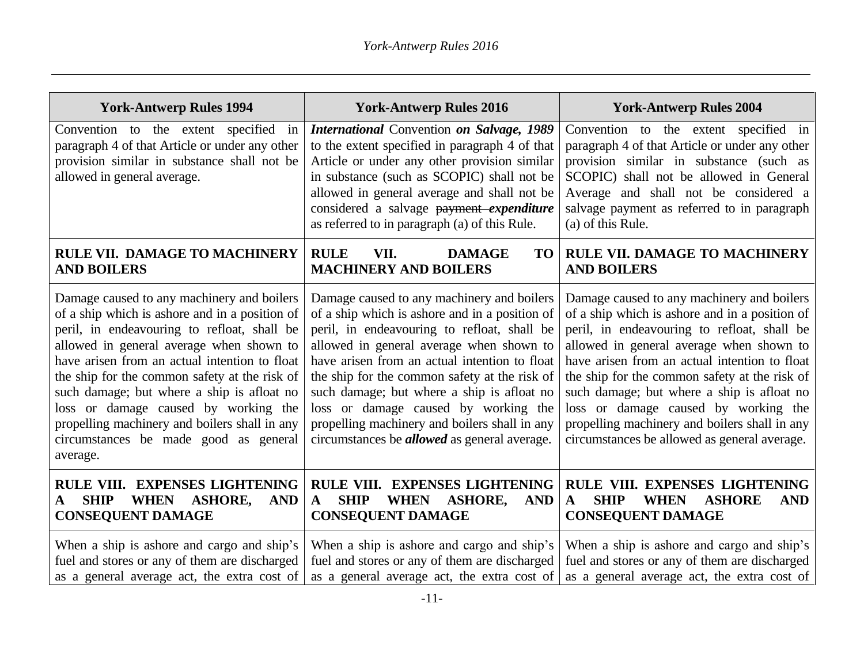| <b>York-Antwerp Rules 1994</b>                                                                                                                                                                                                                                                                                                                                                                                                                                                        | <b>York-Antwerp Rules 2016</b>                                                                                                                                                                                                                                                                                                                                                                                                                                                          | <b>York-Antwerp Rules 2004</b>                                                                                                                                                                                                                                                                                                                                                                                                                                                   |
|---------------------------------------------------------------------------------------------------------------------------------------------------------------------------------------------------------------------------------------------------------------------------------------------------------------------------------------------------------------------------------------------------------------------------------------------------------------------------------------|-----------------------------------------------------------------------------------------------------------------------------------------------------------------------------------------------------------------------------------------------------------------------------------------------------------------------------------------------------------------------------------------------------------------------------------------------------------------------------------------|----------------------------------------------------------------------------------------------------------------------------------------------------------------------------------------------------------------------------------------------------------------------------------------------------------------------------------------------------------------------------------------------------------------------------------------------------------------------------------|
| Convention to the extent specified in<br>paragraph 4 of that Article or under any other<br>provision similar in substance shall not be<br>allowed in general average.                                                                                                                                                                                                                                                                                                                 | International Convention on Salvage, 1989<br>to the extent specified in paragraph 4 of that<br>Article or under any other provision similar<br>in substance (such as SCOPIC) shall not be<br>allowed in general average and shall not be<br>considered a salvage payment-expenditure<br>as referred to in paragraph (a) of this Rule.                                                                                                                                                   | Convention to the extent specified in<br>paragraph 4 of that Article or under any other<br>provision similar in substance (such as<br>SCOPIC) shall not be allowed in General<br>Average and shall not be considered a<br>salvage payment as referred to in paragraph<br>(a) of this Rule.                                                                                                                                                                                       |
| <b>RULE VII. DAMAGE TO MACHINERY</b><br><b>AND BOILERS</b>                                                                                                                                                                                                                                                                                                                                                                                                                            | <b>RULE</b><br>VII.<br><b>DAMAGE</b><br><b>TO</b><br><b>MACHINERY AND BOILERS</b>                                                                                                                                                                                                                                                                                                                                                                                                       | <b>RULE VII. DAMAGE TO MACHINERY</b><br><b>AND BOILERS</b>                                                                                                                                                                                                                                                                                                                                                                                                                       |
| Damage caused to any machinery and boilers<br>of a ship which is ashore and in a position of<br>peril, in endeavouring to refloat, shall be<br>allowed in general average when shown to<br>have arisen from an actual intention to float<br>the ship for the common safety at the risk of<br>such damage; but where a ship is afloat no<br>loss or damage caused by working the<br>propelling machinery and boilers shall in any<br>circumstances be made good as general<br>average. | Damage caused to any machinery and boilers<br>of a ship which is ashore and in a position of<br>peril, in endeavouring to refloat, shall be<br>allowed in general average when shown to<br>have arisen from an actual intention to float<br>the ship for the common safety at the risk of<br>such damage; but where a ship is afloat no<br>loss or damage caused by working the<br>propelling machinery and boilers shall in any<br>circumstances be <i>allowed</i> as general average. | Damage caused to any machinery and boilers<br>of a ship which is ashore and in a position of<br>peril, in endeavouring to refloat, shall be<br>allowed in general average when shown to<br>have arisen from an actual intention to float<br>the ship for the common safety at the risk of<br>such damage; but where a ship is afloat no<br>loss or damage caused by working the<br>propelling machinery and boilers shall in any<br>circumstances be allowed as general average. |
| RULE VIII. EXPENSES LIGHTENING<br><b>ASHORE,</b><br><b>SHIP</b><br><b>WHEN</b><br><b>AND</b><br>A<br><b>CONSEQUENT DAMAGE</b>                                                                                                                                                                                                                                                                                                                                                         | RULE VIII. EXPENSES LIGHTENING<br><b>WHEN</b><br><b>ASHORE,</b><br><b>SHIP</b><br><b>AND</b><br>A<br><b>CONSEQUENT DAMAGE</b>                                                                                                                                                                                                                                                                                                                                                           | RULE VIII. EXPENSES LIGHTENING<br><b>SHIP</b><br><b>ASHORE</b><br><b>WHEN</b><br><b>AND</b><br>A<br><b>CONSEQUENT DAMAGE</b>                                                                                                                                                                                                                                                                                                                                                     |
| When a ship is ashore and cargo and ship's<br>fuel and stores or any of them are discharged<br>as a general average act, the extra cost of                                                                                                                                                                                                                                                                                                                                            | When a ship is ashore and cargo and ship's<br>fuel and stores or any of them are discharged<br>as a general average act, the extra cost of                                                                                                                                                                                                                                                                                                                                              | When a ship is ashore and cargo and ship's<br>fuel and stores or any of them are discharged<br>as a general average act, the extra cost of                                                                                                                                                                                                                                                                                                                                       |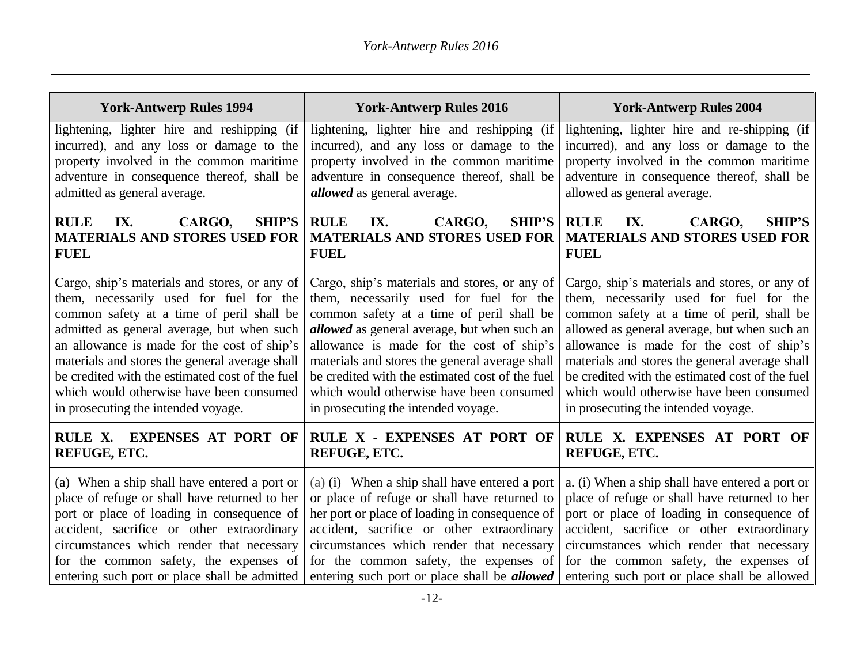| <b>York-Antwerp Rules 1994</b>                        | <b>York-Antwerp Rules 2016</b>                      | <b>York-Antwerp Rules 2004</b>                  |
|-------------------------------------------------------|-----------------------------------------------------|-------------------------------------------------|
| lightening, lighter hire and reshipping (if           | lightening, lighter hire and reshipping (if         | lightening, lighter hire and re-shipping (if    |
| incurred), and any loss or damage to the              | incurred), and any loss or damage to the            | incurred), and any loss or damage to the        |
| property involved in the common maritime              | property involved in the common maritime            | property involved in the common maritime        |
| adventure in consequence thereof, shall be            | adventure in consequence thereof, shall be          | adventure in consequence thereof, shall be      |
| admitted as general average.                          | <i>allowed</i> as general average.                  | allowed as general average.                     |
| SHIP'S                                                | <b>RULE</b>                                         | <b>SHIP'S</b>                                   |
| CARGO,                                                | CARGO,                                              | CARGO,                                          |
| <b>RULE</b>                                           | <b>SHIP'S</b>                                       | <b>RULE</b>                                     |
| IX.                                                   | IX.                                                 | IX.                                             |
| <b>MATERIALS AND STORES USED FOR</b>                  | <b>MATERIALS AND STORES USED FOR</b>                | <b>MATERIALS AND STORES USED FOR</b>            |
| <b>FUEL</b>                                           | <b>FUEL</b>                                         | <b>FUEL</b>                                     |
| Cargo, ship's materials and stores, or any of         | Cargo, ship's materials and stores, or any of       | Cargo, ship's materials and stores, or any of   |
| them, necessarily used for fuel for the               | them, necessarily used for fuel for the             | them, necessarily used for fuel for the         |
| common safety at a time of peril shall be             | common safety at a time of peril shall be           | common safety at a time of peril, shall be      |
| admitted as general average, but when such            | allowed as general average, but when such an        | allowed as general average, but when such an    |
| an allowance is made for the cost of ship's           | allowance is made for the cost of ship's            | allowance is made for the cost of ship's        |
| materials and stores the general average shall        | materials and stores the general average shall      | materials and stores the general average shall  |
| be credited with the estimated cost of the fuel       | be credited with the estimated cost of the fuel     | be credited with the estimated cost of the fuel |
| which would otherwise have been consumed              | which would otherwise have been consumed            | which would otherwise have been consumed        |
| in prosecuting the intended voyage.                   | in prosecuting the intended voyage.                 | in prosecuting the intended voyage.             |
| <b>EXPENSES AT PORT OF</b><br>RULE X.<br>REFUGE, ETC. | <b>RULE X - EXPENSES AT PORT OF</b><br>REFUGE, ETC. | RULE X. EXPENSES AT PORT OF<br>REFUGE, ETC.     |
| (a) When a ship shall have entered a port or          | (a) (i) When a ship shall have entered a port       | a. (i) When a ship shall have entered a port or |
| place of refuge or shall have returned to her         | or place of refuge or shall have returned to        | place of refuge or shall have returned to her   |
| port or place of loading in consequence of            | her port or place of loading in consequence of      | port or place of loading in consequence of      |
| accident, sacrifice or other extraordinary            | accident, sacrifice or other extraordinary          | accident, sacrifice or other extraordinary      |
| circumstances which render that necessary             | circumstances which render that necessary           | circumstances which render that necessary       |
| for the common safety, the expenses of                | for the common safety, the expenses of              | for the common safety, the expenses of          |
| entering such port or place shall be admitted         | entering such port or place shall be allowed        | entering such port or place shall be allowed    |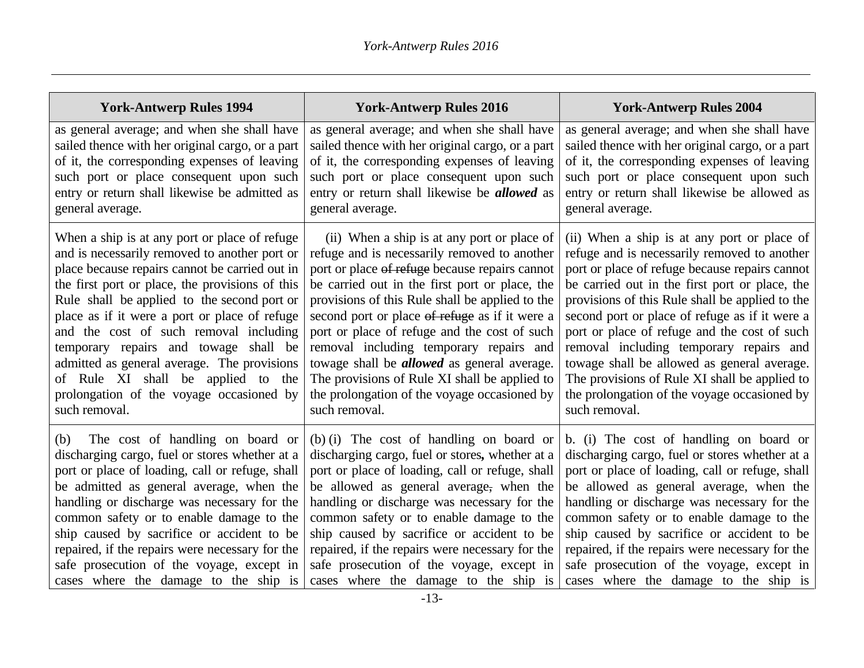| <b>York-Antwerp Rules 1994</b>                                                                                                                                                                                                                                                                                                                                                                                                                                             | <b>York-Antwerp Rules 2016</b>                                                                                                                                                                                                                                                                                                                                                                                                                                              | <b>York-Antwerp Rules 2004</b>                                                                                                                                                                                                                                                                                                                                                                                                                                            |
|----------------------------------------------------------------------------------------------------------------------------------------------------------------------------------------------------------------------------------------------------------------------------------------------------------------------------------------------------------------------------------------------------------------------------------------------------------------------------|-----------------------------------------------------------------------------------------------------------------------------------------------------------------------------------------------------------------------------------------------------------------------------------------------------------------------------------------------------------------------------------------------------------------------------------------------------------------------------|---------------------------------------------------------------------------------------------------------------------------------------------------------------------------------------------------------------------------------------------------------------------------------------------------------------------------------------------------------------------------------------------------------------------------------------------------------------------------|
| as general average; and when she shall have                                                                                                                                                                                                                                                                                                                                                                                                                                | as general average; and when she shall have                                                                                                                                                                                                                                                                                                                                                                                                                                 | as general average; and when she shall have                                                                                                                                                                                                                                                                                                                                                                                                                               |
| sailed thence with her original cargo, or a part                                                                                                                                                                                                                                                                                                                                                                                                                           | sailed thence with her original cargo, or a part                                                                                                                                                                                                                                                                                                                                                                                                                            | sailed thence with her original cargo, or a part                                                                                                                                                                                                                                                                                                                                                                                                                          |
| of it, the corresponding expenses of leaving                                                                                                                                                                                                                                                                                                                                                                                                                               | of it, the corresponding expenses of leaving                                                                                                                                                                                                                                                                                                                                                                                                                                | of it, the corresponding expenses of leaving                                                                                                                                                                                                                                                                                                                                                                                                                              |
| such port or place consequent upon such                                                                                                                                                                                                                                                                                                                                                                                                                                    | such port or place consequent upon such                                                                                                                                                                                                                                                                                                                                                                                                                                     | such port or place consequent upon such                                                                                                                                                                                                                                                                                                                                                                                                                                   |
| entry or return shall likewise be admitted as                                                                                                                                                                                                                                                                                                                                                                                                                              | entry or return shall likewise be <i>allowed</i> as                                                                                                                                                                                                                                                                                                                                                                                                                         | entry or return shall likewise be allowed as                                                                                                                                                                                                                                                                                                                                                                                                                              |
| general average.                                                                                                                                                                                                                                                                                                                                                                                                                                                           | general average.                                                                                                                                                                                                                                                                                                                                                                                                                                                            | general average.                                                                                                                                                                                                                                                                                                                                                                                                                                                          |
| When a ship is at any port or place of refuge                                                                                                                                                                                                                                                                                                                                                                                                                              | (ii) When a ship is at any port or place of                                                                                                                                                                                                                                                                                                                                                                                                                                 | (ii) When a ship is at any port or place of                                                                                                                                                                                                                                                                                                                                                                                                                               |
| and is necessarily removed to another port or                                                                                                                                                                                                                                                                                                                                                                                                                              | refuge and is necessarily removed to another                                                                                                                                                                                                                                                                                                                                                                                                                                | refuge and is necessarily removed to another                                                                                                                                                                                                                                                                                                                                                                                                                              |
| place because repairs cannot be carried out in                                                                                                                                                                                                                                                                                                                                                                                                                             | port or place of refuge because repairs cannot                                                                                                                                                                                                                                                                                                                                                                                                                              | port or place of refuge because repairs cannot                                                                                                                                                                                                                                                                                                                                                                                                                            |
| the first port or place, the provisions of this                                                                                                                                                                                                                                                                                                                                                                                                                            | be carried out in the first port or place, the                                                                                                                                                                                                                                                                                                                                                                                                                              | be carried out in the first port or place, the                                                                                                                                                                                                                                                                                                                                                                                                                            |
| Rule shall be applied to the second port or                                                                                                                                                                                                                                                                                                                                                                                                                                | provisions of this Rule shall be applied to the                                                                                                                                                                                                                                                                                                                                                                                                                             | provisions of this Rule shall be applied to the                                                                                                                                                                                                                                                                                                                                                                                                                           |
| place as if it were a port or place of refuge                                                                                                                                                                                                                                                                                                                                                                                                                              | second port or place of refuge as if it were a                                                                                                                                                                                                                                                                                                                                                                                                                              | second port or place of refuge as if it were a                                                                                                                                                                                                                                                                                                                                                                                                                            |
| and the cost of such removal including                                                                                                                                                                                                                                                                                                                                                                                                                                     | port or place of refuge and the cost of such                                                                                                                                                                                                                                                                                                                                                                                                                                | port or place of refuge and the cost of such                                                                                                                                                                                                                                                                                                                                                                                                                              |
| temporary repairs and towage shall be                                                                                                                                                                                                                                                                                                                                                                                                                                      | removal including temporary repairs and                                                                                                                                                                                                                                                                                                                                                                                                                                     | removal including temporary repairs and                                                                                                                                                                                                                                                                                                                                                                                                                                   |
| admitted as general average. The provisions                                                                                                                                                                                                                                                                                                                                                                                                                                | towage shall be <i>allowed</i> as general average.                                                                                                                                                                                                                                                                                                                                                                                                                          | towage shall be allowed as general average.                                                                                                                                                                                                                                                                                                                                                                                                                               |
| of Rule XI shall be applied to the                                                                                                                                                                                                                                                                                                                                                                                                                                         | The provisions of Rule XI shall be applied to                                                                                                                                                                                                                                                                                                                                                                                                                               | The provisions of Rule XI shall be applied to                                                                                                                                                                                                                                                                                                                                                                                                                             |
| prolongation of the voyage occasioned by                                                                                                                                                                                                                                                                                                                                                                                                                                   | the prolongation of the voyage occasioned by                                                                                                                                                                                                                                                                                                                                                                                                                                | the prolongation of the voyage occasioned by                                                                                                                                                                                                                                                                                                                                                                                                                              |
| such removal.                                                                                                                                                                                                                                                                                                                                                                                                                                                              | such removal.                                                                                                                                                                                                                                                                                                                                                                                                                                                               | such removal.                                                                                                                                                                                                                                                                                                                                                                                                                                                             |
| The cost of handling on board or<br>(b)<br>discharging cargo, fuel or stores whether at a<br>port or place of loading, call or refuge, shall<br>be admitted as general average, when the<br>handling or discharge was necessary for the<br>common safety or to enable damage to the<br>ship caused by sacrifice or accident to be<br>repaired, if the repairs were necessary for the<br>safe prosecution of the voyage, except in<br>cases where the damage to the ship is | (b) (i) The cost of handling on board or<br>discharging cargo, fuel or stores, whether at a<br>port or place of loading, call or refuge, shall<br>be allowed as general average, when the<br>handling or discharge was necessary for the<br>common safety or to enable damage to the<br>ship caused by sacrifice or accident to be<br>repaired, if the repairs were necessary for the<br>safe prosecution of the voyage, except in<br>cases where the damage to the ship is | b. (i) The cost of handling on board or<br>discharging cargo, fuel or stores whether at a<br>port or place of loading, call or refuge, shall<br>be allowed as general average, when the<br>handling or discharge was necessary for the<br>common safety or to enable damage to the<br>ship caused by sacrifice or accident to be<br>repaired, if the repairs were necessary for the<br>safe prosecution of the voyage, except in<br>cases where the damage to the ship is |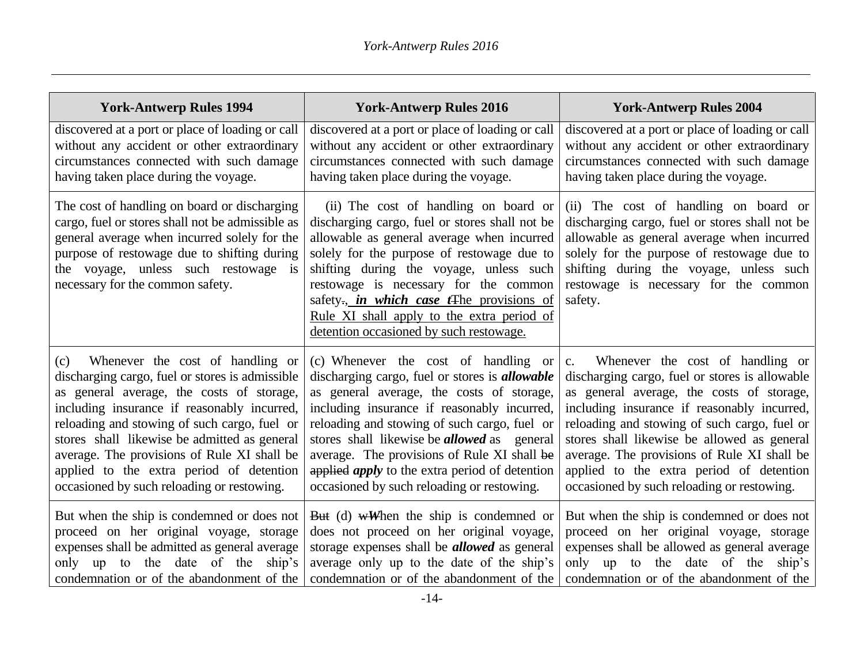| <b>York-Antwerp Rules 1994</b>                                                                                                                                                                                                                                                                                                                                                                                                  | <b>York-Antwerp Rules 2016</b>                                                                                                                                                                                                                                                                                                                                                                                                                        | <b>York-Antwerp Rules 2004</b>                                                                                                                                                                                                                                                                                                                                                                                               |
|---------------------------------------------------------------------------------------------------------------------------------------------------------------------------------------------------------------------------------------------------------------------------------------------------------------------------------------------------------------------------------------------------------------------------------|-------------------------------------------------------------------------------------------------------------------------------------------------------------------------------------------------------------------------------------------------------------------------------------------------------------------------------------------------------------------------------------------------------------------------------------------------------|------------------------------------------------------------------------------------------------------------------------------------------------------------------------------------------------------------------------------------------------------------------------------------------------------------------------------------------------------------------------------------------------------------------------------|
| discovered at a port or place of loading or call<br>without any accident or other extraordinary<br>circumstances connected with such damage<br>having taken place during the voyage.                                                                                                                                                                                                                                            | discovered at a port or place of loading or call<br>without any accident or other extraordinary<br>circumstances connected with such damage<br>having taken place during the voyage.                                                                                                                                                                                                                                                                  | discovered at a port or place of loading or call<br>without any accident or other extraordinary<br>circumstances connected with such damage<br>having taken place during the voyage.                                                                                                                                                                                                                                         |
| The cost of handling on board or discharging<br>cargo, fuel or stores shall not be admissible as<br>general average when incurred solely for the<br>purpose of restowage due to shifting during<br>the voyage, unless such restowage is<br>necessary for the common safety.                                                                                                                                                     | (ii) The cost of handling on board or<br>discharging cargo, fuel or stores shall not be<br>allowable as general average when incurred<br>solely for the purpose of restowage due to<br>shifting during the voyage, unless such<br>restowage is necessary for the common<br>safety-, <i>in which case t</i> The provisions of<br>Rule XI shall apply to the extra period of<br>detention occasioned by such restowage.                                 | (ii) The cost of handling on board or<br>discharging cargo, fuel or stores shall not be<br>allowable as general average when incurred<br>solely for the purpose of restowage due to<br>shifting during the voyage, unless such<br>restowage is necessary for the common<br>safety.                                                                                                                                           |
| Whenever the cost of handling or<br>(c)<br>discharging cargo, fuel or stores is admissible<br>as general average, the costs of storage,<br>including insurance if reasonably incurred,<br>reloading and stowing of such cargo, fuel or<br>stores shall likewise be admitted as general<br>average. The provisions of Rule XI shall be<br>applied to the extra period of detention<br>occasioned by such reloading or restowing. | (c) Whenever the cost of handling or<br>discharging cargo, fuel or stores is <i>allowable</i><br>as general average, the costs of storage,<br>including insurance if reasonably incurred,<br>reloading and stowing of such cargo, fuel or<br>stores shall likewise be <i>allowed</i> as general<br>average. The provisions of Rule XI shall be<br>applied <i>apply</i> to the extra period of detention<br>occasioned by such reloading or restowing. | Whenever the cost of handling or<br>c.<br>discharging cargo, fuel or stores is allowable<br>as general average, the costs of storage,<br>including insurance if reasonably incurred,<br>reloading and stowing of such cargo, fuel or<br>stores shall likewise be allowed as general<br>average. The provisions of Rule XI shall be<br>applied to the extra period of detention<br>occasioned by such reloading or restowing. |
| But when the ship is condemned or does not<br>proceed on her original voyage, storage<br>expenses shall be admitted as general average<br>up to the date of the ship's<br>only<br>condemnation or of the abandonment of the                                                                                                                                                                                                     | But (d) withen the ship is condemned or<br>does not proceed on her original voyage,<br>storage expenses shall be <i>allowed</i> as general<br>average only up to the date of the ship's<br>condemnation or of the abandonment of the                                                                                                                                                                                                                  | But when the ship is condemned or does not<br>proceed on her original voyage, storage<br>expenses shall be allowed as general average<br>only up to the date of the ship's<br>condemnation or of the abandonment of the                                                                                                                                                                                                      |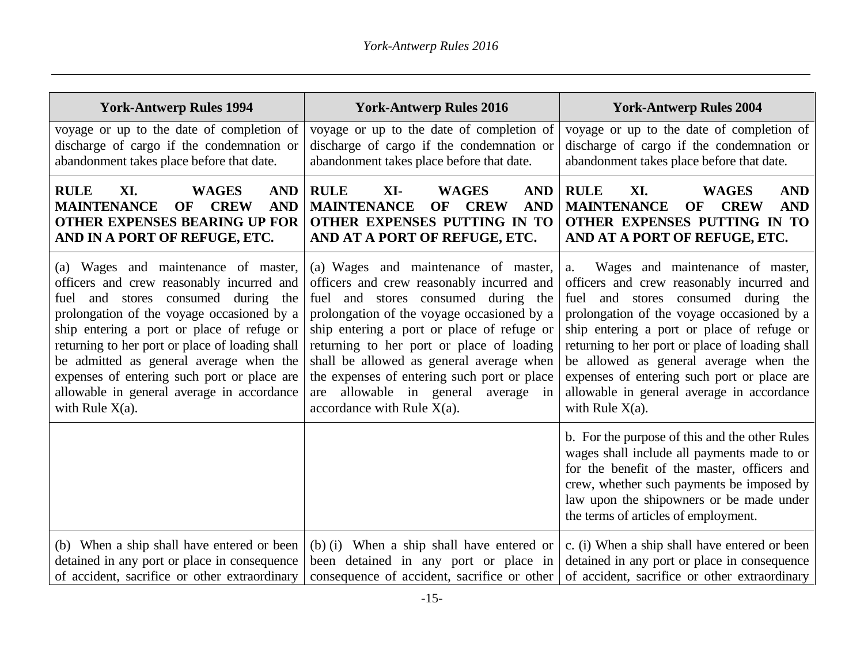| <b>York-Antwerp Rules 1994</b>                                                                                                                                                                                                                                                                                                                                                                                                        | <b>York-Antwerp Rules 2016</b>                                                                                                                                                                                                                                                                                                                                                                                                          | <b>York-Antwerp Rules 2004</b>                                                                                                                                                                                                                                                                                                                                                                                                            |
|---------------------------------------------------------------------------------------------------------------------------------------------------------------------------------------------------------------------------------------------------------------------------------------------------------------------------------------------------------------------------------------------------------------------------------------|-----------------------------------------------------------------------------------------------------------------------------------------------------------------------------------------------------------------------------------------------------------------------------------------------------------------------------------------------------------------------------------------------------------------------------------------|-------------------------------------------------------------------------------------------------------------------------------------------------------------------------------------------------------------------------------------------------------------------------------------------------------------------------------------------------------------------------------------------------------------------------------------------|
| voyage or up to the date of completion of                                                                                                                                                                                                                                                                                                                                                                                             | voyage or up to the date of completion of                                                                                                                                                                                                                                                                                                                                                                                               | voyage or up to the date of completion of                                                                                                                                                                                                                                                                                                                                                                                                 |
| discharge of cargo if the condemnation or                                                                                                                                                                                                                                                                                                                                                                                             | discharge of cargo if the condemnation or                                                                                                                                                                                                                                                                                                                                                                                               | discharge of cargo if the condemnation or                                                                                                                                                                                                                                                                                                                                                                                                 |
| abandonment takes place before that date.                                                                                                                                                                                                                                                                                                                                                                                             | abandonment takes place before that date.                                                                                                                                                                                                                                                                                                                                                                                               | abandonment takes place before that date.                                                                                                                                                                                                                                                                                                                                                                                                 |
| <b>RULE</b>                                                                                                                                                                                                                                                                                                                                                                                                                           | <b>RULE</b>                                                                                                                                                                                                                                                                                                                                                                                                                             | <b>AND</b>                                                                                                                                                                                                                                                                                                                                                                                                                                |
| <b>WAGES</b>                                                                                                                                                                                                                                                                                                                                                                                                                          | XI-                                                                                                                                                                                                                                                                                                                                                                                                                                     | <b>RULE</b>                                                                                                                                                                                                                                                                                                                                                                                                                               |
| XI.                                                                                                                                                                                                                                                                                                                                                                                                                                   | <b>WAGES</b>                                                                                                                                                                                                                                                                                                                                                                                                                            | XI.                                                                                                                                                                                                                                                                                                                                                                                                                                       |
| <b>AND</b>                                                                                                                                                                                                                                                                                                                                                                                                                            | <b>AND</b>                                                                                                                                                                                                                                                                                                                                                                                                                              | <b>WAGES</b>                                                                                                                                                                                                                                                                                                                                                                                                                              |
| <b>MAINTENANCE</b>                                                                                                                                                                                                                                                                                                                                                                                                                    | <b>MAINTENANCE</b>                                                                                                                                                                                                                                                                                                                                                                                                                      | <b>MAINTENANCE</b>                                                                                                                                                                                                                                                                                                                                                                                                                        |
| <b>CREW</b>                                                                                                                                                                                                                                                                                                                                                                                                                           | OF                                                                                                                                                                                                                                                                                                                                                                                                                                      | <b>CREW</b>                                                                                                                                                                                                                                                                                                                                                                                                                               |
| <b>AND</b>                                                                                                                                                                                                                                                                                                                                                                                                                            | <b>CREW</b>                                                                                                                                                                                                                                                                                                                                                                                                                             | <b>AND</b>                                                                                                                                                                                                                                                                                                                                                                                                                                |
| OF                                                                                                                                                                                                                                                                                                                                                                                                                                    | <b>AND</b>                                                                                                                                                                                                                                                                                                                                                                                                                              | OF                                                                                                                                                                                                                                                                                                                                                                                                                                        |
| <b>OTHER EXPENSES BEARING UP FOR</b>                                                                                                                                                                                                                                                                                                                                                                                                  | OTHER EXPENSES PUTTING IN TO                                                                                                                                                                                                                                                                                                                                                                                                            | OTHER EXPENSES PUTTING IN TO                                                                                                                                                                                                                                                                                                                                                                                                              |
| AND IN A PORT OF REFUGE, ETC.                                                                                                                                                                                                                                                                                                                                                                                                         | AND AT A PORT OF REFUGE, ETC.                                                                                                                                                                                                                                                                                                                                                                                                           | AND AT A PORT OF REFUGE, ETC.                                                                                                                                                                                                                                                                                                                                                                                                             |
| (a) Wages and maintenance of master,<br>officers and crew reasonably incurred and<br>fuel and stores consumed during the<br>prolongation of the voyage occasioned by a<br>ship entering a port or place of refuge or<br>returning to her port or place of loading shall<br>be admitted as general average when the<br>expenses of entering such port or place are<br>allowable in general average in accordance<br>with Rule $X(a)$ . | (a) Wages and maintenance of master,<br>officers and crew reasonably incurred and<br>fuel and stores consumed during the<br>prolongation of the voyage occasioned by a<br>ship entering a port or place of refuge or<br>returning to her port or place of loading<br>shall be allowed as general average when<br>the expenses of entering such port or place<br>allowable in general average in<br>are<br>accordance with Rule $X(a)$ . | Wages and maintenance of master,<br>a.<br>officers and crew reasonably incurred and<br>and stores consumed during the<br>fuel<br>prolongation of the voyage occasioned by a<br>ship entering a port or place of refuge or<br>returning to her port or place of loading shall<br>be allowed as general average when the<br>expenses of entering such port or place are<br>allowable in general average in accordance<br>with Rule $X(a)$ . |
|                                                                                                                                                                                                                                                                                                                                                                                                                                       |                                                                                                                                                                                                                                                                                                                                                                                                                                         | b. For the purpose of this and the other Rules<br>wages shall include all payments made to or<br>for the benefit of the master, officers and<br>crew, whether such payments be imposed by<br>law upon the shipowners or be made under<br>the terms of articles of employment.                                                                                                                                                             |
| (b) When a ship shall have entered or been                                                                                                                                                                                                                                                                                                                                                                                            | (b) (i) When a ship shall have entered or                                                                                                                                                                                                                                                                                                                                                                                               | c. (i) When a ship shall have entered or been                                                                                                                                                                                                                                                                                                                                                                                             |
| detained in any port or place in consequence                                                                                                                                                                                                                                                                                                                                                                                          | been detained in any port or place in                                                                                                                                                                                                                                                                                                                                                                                                   | detained in any port or place in consequence                                                                                                                                                                                                                                                                                                                                                                                              |
| of accident, sacrifice or other extraordinary                                                                                                                                                                                                                                                                                                                                                                                         | consequence of accident, sacrifice or other                                                                                                                                                                                                                                                                                                                                                                                             | of accident, sacrifice or other extraordinary                                                                                                                                                                                                                                                                                                                                                                                             |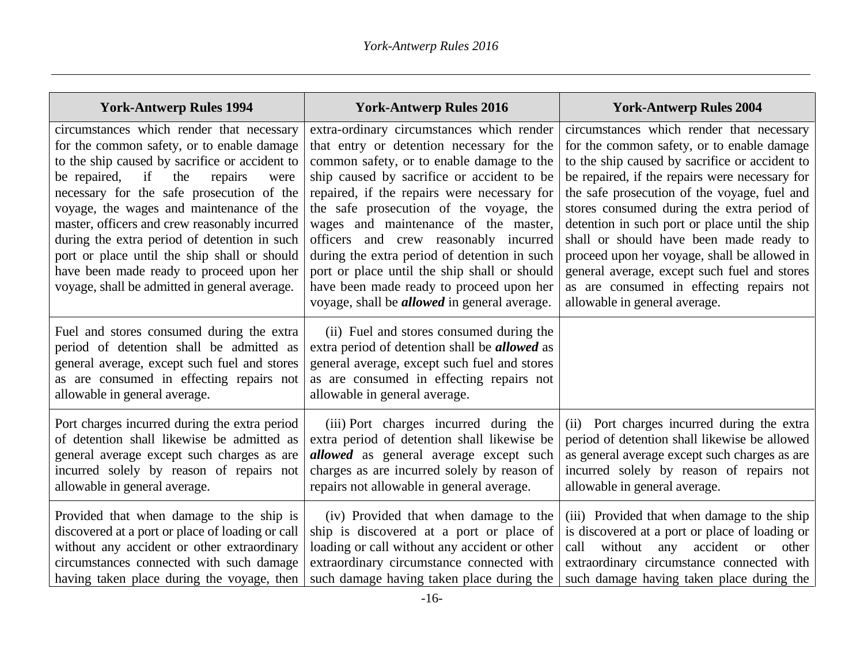| <b>York-Antwerp Rules 1994</b>                                                                                                                                                                                                                                                                                                                                                                                                                                                                                                   | <b>York-Antwerp Rules 2016</b>                                                                                                                                                                                                                                                                                                                                                                                                                                                                                                                                  | <b>York-Antwerp Rules 2004</b>                                                                                                                                                                                                                                                                                                                                                                                                                                                                                                                                      |
|----------------------------------------------------------------------------------------------------------------------------------------------------------------------------------------------------------------------------------------------------------------------------------------------------------------------------------------------------------------------------------------------------------------------------------------------------------------------------------------------------------------------------------|-----------------------------------------------------------------------------------------------------------------------------------------------------------------------------------------------------------------------------------------------------------------------------------------------------------------------------------------------------------------------------------------------------------------------------------------------------------------------------------------------------------------------------------------------------------------|---------------------------------------------------------------------------------------------------------------------------------------------------------------------------------------------------------------------------------------------------------------------------------------------------------------------------------------------------------------------------------------------------------------------------------------------------------------------------------------------------------------------------------------------------------------------|
| circumstances which render that necessary<br>for the common safety, or to enable damage<br>to the ship caused by sacrifice or accident to<br>if<br>the<br>be repaired,<br>repairs<br>were<br>necessary for the safe prosecution of the<br>voyage, the wages and maintenance of the<br>master, officers and crew reasonably incurred<br>during the extra period of detention in such<br>port or place until the ship shall or should<br>have been made ready to proceed upon her<br>voyage, shall be admitted in general average. | extra-ordinary circumstances which render<br>that entry or detention necessary for the<br>common safety, or to enable damage to the<br>ship caused by sacrifice or accident to be<br>repaired, if the repairs were necessary for<br>the safe prosecution of the voyage, the<br>wages and maintenance of the master,<br>officers and crew reasonably incurred<br>during the extra period of detention in such<br>port or place until the ship shall or should<br>have been made ready to proceed upon her<br>voyage, shall be <i>allowed</i> in general average. | circumstances which render that necessary<br>for the common safety, or to enable damage<br>to the ship caused by sacrifice or accident to<br>be repaired, if the repairs were necessary for<br>the safe prosecution of the voyage, fuel and<br>stores consumed during the extra period of<br>detention in such port or place until the ship<br>shall or should have been made ready to<br>proceed upon her voyage, shall be allowed in<br>general average, except such fuel and stores<br>as are consumed in effecting repairs not<br>allowable in general average. |
| Fuel and stores consumed during the extra<br>period of detention shall be admitted as<br>general average, except such fuel and stores<br>as are consumed in effecting repairs not<br>allowable in general average.                                                                                                                                                                                                                                                                                                               | (ii) Fuel and stores consumed during the<br>extra period of detention shall be <i>allowed</i> as<br>general average, except such fuel and stores<br>as are consumed in effecting repairs not<br>allowable in general average.                                                                                                                                                                                                                                                                                                                                   |                                                                                                                                                                                                                                                                                                                                                                                                                                                                                                                                                                     |
| Port charges incurred during the extra period<br>of detention shall likewise be admitted as<br>general average except such charges as are<br>incurred solely by reason of repairs not<br>allowable in general average.                                                                                                                                                                                                                                                                                                           | (iii) Port charges incurred during the<br>extra period of detention shall likewise be<br>allowed as general average except such<br>charges as are incurred solely by reason of<br>repairs not allowable in general average.                                                                                                                                                                                                                                                                                                                                     | (ii) Port charges incurred during the extra<br>period of detention shall likewise be allowed<br>as general average except such charges as are<br>incurred solely by reason of repairs not<br>allowable in general average.                                                                                                                                                                                                                                                                                                                                          |
| Provided that when damage to the ship is<br>discovered at a port or place of loading or call<br>without any accident or other extraordinary<br>circumstances connected with such damage<br>having taken place during the voyage, then                                                                                                                                                                                                                                                                                            | (iv) Provided that when damage to the<br>ship is discovered at a port or place of<br>loading or call without any accident or other<br>extraordinary circumstance connected with<br>such damage having taken place during the                                                                                                                                                                                                                                                                                                                                    | (iii) Provided that when damage to the ship<br>is discovered at a port or place of loading or<br>accident or<br>call<br>without<br>any<br>other<br>extraordinary circumstance connected with<br>such damage having taken place during the                                                                                                                                                                                                                                                                                                                           |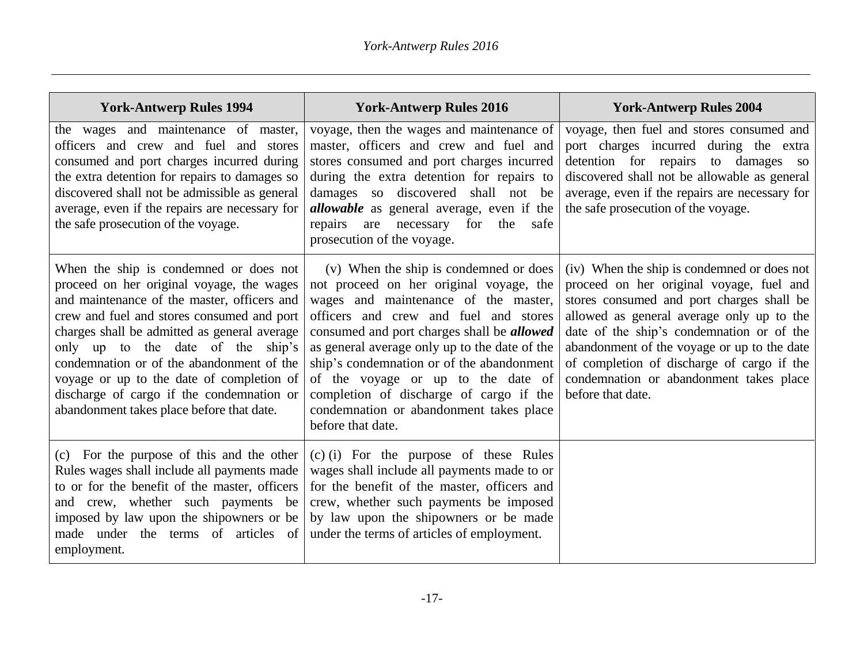| <b>York-Antwerp Rules 1994</b>                                                                                                                                                                                                                                                                                                                                                                                                                            | <b>York-Antwerp Rules 2016</b>                                                                                                                                                                                                                                                                                                                                                                                                                                         | <b>York-Antwerp Rules 2004</b>                                                                                                                                                                                                                                                                                                                                                              |
|-----------------------------------------------------------------------------------------------------------------------------------------------------------------------------------------------------------------------------------------------------------------------------------------------------------------------------------------------------------------------------------------------------------------------------------------------------------|------------------------------------------------------------------------------------------------------------------------------------------------------------------------------------------------------------------------------------------------------------------------------------------------------------------------------------------------------------------------------------------------------------------------------------------------------------------------|---------------------------------------------------------------------------------------------------------------------------------------------------------------------------------------------------------------------------------------------------------------------------------------------------------------------------------------------------------------------------------------------|
| the wages and maintenance of master,<br>officers and crew and fuel and stores<br>consumed and port charges incurred during<br>the extra detention for repairs to damages so<br>discovered shall not be admissible as general<br>average, even if the repairs are necessary for<br>the safe prosecution of the voyage.                                                                                                                                     | voyage, then the wages and maintenance of<br>master, officers and crew and fuel and<br>stores consumed and port charges incurred<br>during the extra detention for repairs to<br>damages so discovered shall not be<br><i>allowable</i> as general average, even if the<br>are necessary<br>for the<br>repairs<br>safe<br>prosecution of the voyage.                                                                                                                   | voyage, then fuel and stores consumed and<br>port charges incurred during the extra<br>detention for repairs to damages so<br>discovered shall not be allowable as general<br>average, even if the repairs are necessary for<br>the safe prosecution of the voyage.                                                                                                                         |
| When the ship is condemned or does not<br>proceed on her original voyage, the wages<br>and maintenance of the master, officers and<br>crew and fuel and stores consumed and port<br>charges shall be admitted as general average<br>only up to the date of the ship's<br>condemnation or of the abandonment of the<br>voyage or up to the date of completion of<br>discharge of cargo if the condemnation or<br>abandonment takes place before that date. | (v) When the ship is condemned or does<br>not proceed on her original voyage, the<br>wages and maintenance of the master,<br>officers and crew and fuel and stores<br>consumed and port charges shall be <i>allowed</i><br>as general average only up to the date of the<br>ship's condemnation or of the abandonment<br>of the voyage or up to the date of<br>completion of discharge of cargo if the<br>condemnation or abandonment takes place<br>before that date. | (iv) When the ship is condemned or does not<br>proceed on her original voyage, fuel and<br>stores consumed and port charges shall be<br>allowed as general average only up to the<br>date of the ship's condemnation or of the<br>abandonment of the voyage or up to the date<br>of completion of discharge of cargo if the<br>condemnation or abandonment takes place<br>before that date. |
| (c) For the purpose of this and the other<br>Rules wages shall include all payments made<br>to or for the benefit of the master, officers<br>and crew, whether such payments be<br>imposed by law upon the shipowners or be<br>made under the terms of articles<br>of<br>employment.                                                                                                                                                                      | (c) (i) For the purpose of these Rules<br>wages shall include all payments made to or<br>for the benefit of the master, officers and<br>crew, whether such payments be imposed<br>by law upon the shipowners or be made<br>under the terms of articles of employment.                                                                                                                                                                                                  |                                                                                                                                                                                                                                                                                                                                                                                             |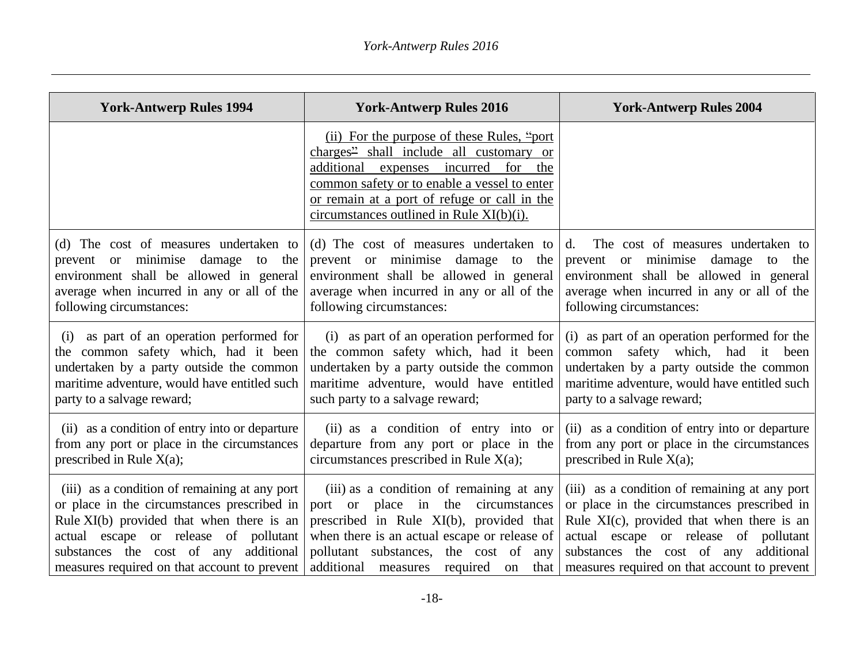| <b>York-Antwerp Rules 1994</b>                                                                                                                                                                                                                                                   | <b>York-Antwerp Rules 2016</b>                                                                                                                                                                                                                                                         | <b>York-Antwerp Rules 2004</b>                                                                                                                                                                                                                                                     |
|----------------------------------------------------------------------------------------------------------------------------------------------------------------------------------------------------------------------------------------------------------------------------------|----------------------------------------------------------------------------------------------------------------------------------------------------------------------------------------------------------------------------------------------------------------------------------------|------------------------------------------------------------------------------------------------------------------------------------------------------------------------------------------------------------------------------------------------------------------------------------|
|                                                                                                                                                                                                                                                                                  | (ii) For the purpose of these Rules, "port"<br>charges" shall include all customary or<br>additional<br>expenses incurred<br>for<br>the<br>common safety or to enable a vessel to enter<br>or remain at a port of refuge or call in the<br>circumstances outlined in Rule $XI(b)(i)$ . |                                                                                                                                                                                                                                                                                    |
| (d) The cost of measures undertaken to<br>minimise<br>damage<br>the<br>prevent or<br>to<br>environment shall be allowed in general<br>average when incurred in any or all of the<br>following circumstances:                                                                     | (d) The cost of measures undertaken to<br>prevent or minimise<br>damage<br>to<br>the<br>environment shall be allowed in general<br>average when incurred in any or all of the<br>following circumstances:                                                                              | The cost of measures undertaken to<br>d.<br>minimise<br>damage<br>prevent or<br>to<br>the<br>environment shall be allowed in general<br>average when incurred in any or all of the<br>following circumstances:                                                                     |
| (i) as part of an operation performed for<br>the common safety which, had it been<br>undertaken by a party outside the common<br>maritime adventure, would have entitled such<br>party to a salvage reward;                                                                      | (i) as part of an operation performed for<br>the common safety which, had it been<br>undertaken by a party outside the common<br>maritime adventure, would have entitled<br>such party to a salvage reward;                                                                            | (i) as part of an operation performed for the<br>safety which,<br>had<br>common<br>it<br>been<br>undertaken by a party outside the common<br>maritime adventure, would have entitled such<br>party to a salvage reward;                                                            |
| (ii) as a condition of entry into or departure<br>from any port or place in the circumstances<br>prescribed in Rule $X(a)$ ;                                                                                                                                                     | (ii) as a condition of entry into or<br>departure from any port or place in the<br>circumstances prescribed in Rule $X(a)$ ;                                                                                                                                                           | (ii) as a condition of entry into or departure<br>from any port or place in the circumstances<br>prescribed in Rule $X(a)$ ;                                                                                                                                                       |
| (iii) as a condition of remaining at any port<br>or place in the circumstances prescribed in<br>Rule $XI(b)$ provided that when there is an<br>actual escape or release of pollutant<br>substances the cost of any<br>additional<br>measures required on that account to prevent | (iii) as a condition of remaining at any<br>place in the<br>circumstances<br>port or<br>prescribed in Rule XI(b), provided that<br>when there is an actual escape or release of<br>pollutant substances, the cost of<br>any<br>additional<br>measures<br>required<br>that<br>on        | (iii) as a condition of remaining at any port<br>or place in the circumstances prescribed in<br>Rule $XI(c)$ , provided that when there is an<br>actual escape or release of pollutant<br>substances the cost of any<br>additional<br>measures required on that account to prevent |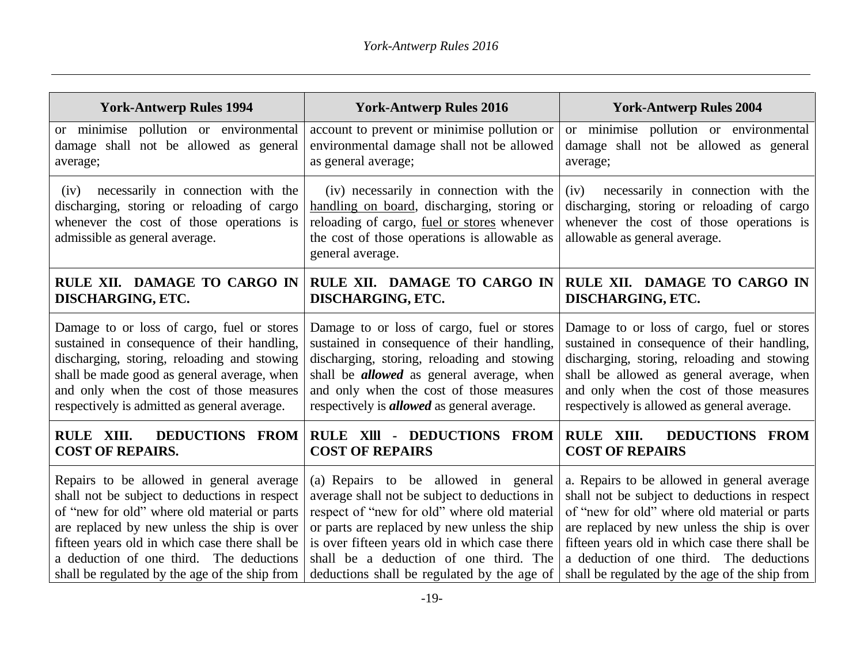| <b>York-Antwerp Rules 1994</b>                                  | <b>York-Antwerp Rules 2016</b>                        | <b>York-Antwerp Rules 2004</b>                                 |
|-----------------------------------------------------------------|-------------------------------------------------------|----------------------------------------------------------------|
| or minimise pollution or environmental                          | account to prevent or minimise pollution or           | or minimise pollution or environmental                         |
| damage shall not be allowed as general                          | environmental damage shall not be allowed             | damage shall not be allowed as general                         |
| average;                                                        | as general average;                                   | average;                                                       |
| necessarily in connection with the                              | (iv) necessarily in connection with the               | necessarily in connection with the                             |
| (iv)                                                            | handling on board, discharging, storing or            | (iv)                                                           |
| discharging, storing or reloading of cargo                      | reloading of cargo, fuel or stores whenever           | discharging, storing or reloading of cargo                     |
| whenever the cost of those operations is                        | the cost of those operations is allowable as          | whenever the cost of those operations is                       |
| admissible as general average.                                  | general average.                                      | allowable as general average.                                  |
| RULE XII. DAMAGE TO CARGO IN                                    | RULE XII. DAMAGE TO CARGO IN                          | RULE XII. DAMAGE TO CARGO IN                                   |
| DISCHARGING, ETC.                                               | DISCHARGING, ETC.                                     | DISCHARGING, ETC.                                              |
| Damage to or loss of cargo, fuel or stores                      | Damage to or loss of cargo, fuel or stores            | Damage to or loss of cargo, fuel or stores                     |
| sustained in consequence of their handling,                     | sustained in consequence of their handling,           | sustained in consequence of their handling,                    |
| discharging, storing, reloading and stowing                     | discharging, storing, reloading and stowing           | discharging, storing, reloading and stowing                    |
| shall be made good as general average, when                     | shall be <i>allowed</i> as general average, when      | shall be allowed as general average, when                      |
| and only when the cost of those measures                        | and only when the cost of those measures              | and only when the cost of those measures                       |
| respectively is admitted as general average.                    | respectively is <i>allowed</i> as general average.    | respectively is allowed as general average.                    |
| RULE XIII.<br><b>DEDUCTIONS FROM</b><br><b>COST OF REPAIRS.</b> | RULE XIII - DEDUCTIONS FROM<br><b>COST OF REPAIRS</b> | RULE XIII.<br><b>DEDUCTIONS FROM</b><br><b>COST OF REPAIRS</b> |
| Repairs to be allowed in general average                        | (a) Repairs to be allowed in general                  | a. Repairs to be allowed in general average                    |
| shall not be subject to deductions in respect                   | average shall not be subject to deductions in         | shall not be subject to deductions in respect                  |
| of "new for old" where old material or parts                    | respect of "new for old" where old material           | of "new for old" where old material or parts                   |
| are replaced by new unless the ship is over                     | or parts are replaced by new unless the ship          | are replaced by new unless the ship is over                    |
| fifteen years old in which case there shall be                  | is over fifteen years old in which case there         | fifteen years old in which case there shall be                 |
| a deduction of one third. The deductions                        | shall be a deduction of one third. The                | a deduction of one third. The deductions                       |
| shall be regulated by the age of the ship from                  | deductions shall be regulated by the age of           | shall be regulated by the age of the ship from                 |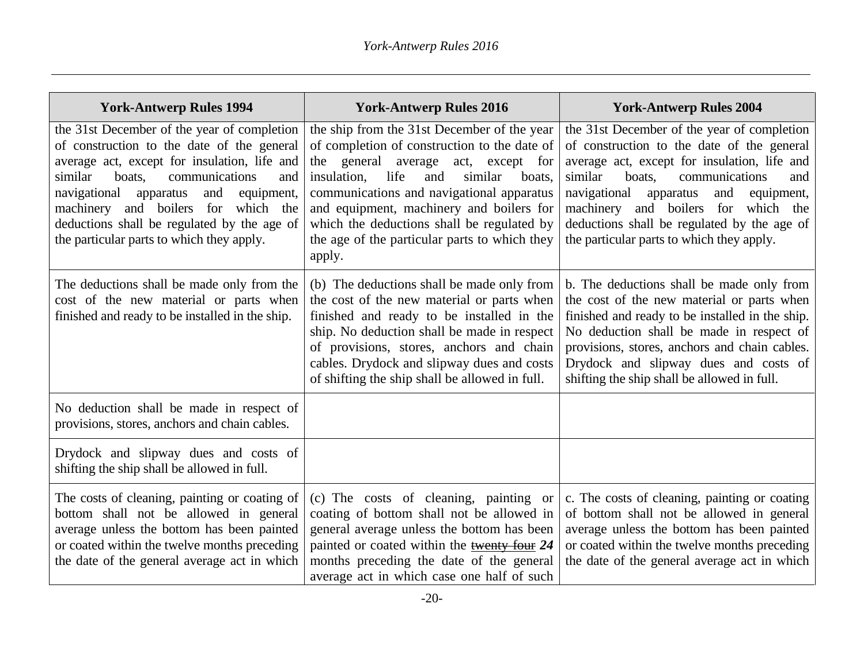| <b>York-Antwerp Rules 1994</b>                                                                                                                                                                                                                                                                                                                                               | <b>York-Antwerp Rules 2016</b>                                                                                                                                                                                                                                                                                                                                                          | <b>York-Antwerp Rules 2004</b>                                                                                                                                                                                                                                                                                                                                                  |
|------------------------------------------------------------------------------------------------------------------------------------------------------------------------------------------------------------------------------------------------------------------------------------------------------------------------------------------------------------------------------|-----------------------------------------------------------------------------------------------------------------------------------------------------------------------------------------------------------------------------------------------------------------------------------------------------------------------------------------------------------------------------------------|---------------------------------------------------------------------------------------------------------------------------------------------------------------------------------------------------------------------------------------------------------------------------------------------------------------------------------------------------------------------------------|
| the 31st December of the year of completion<br>of construction to the date of the general<br>average act, except for insulation, life and<br>boats,<br>similar<br>communications<br>and<br>navigational<br>apparatus<br>and<br>equipment,<br>machinery and boilers for which the<br>deductions shall be regulated by the age of<br>the particular parts to which they apply. | the ship from the 31st December of the year<br>of completion of construction to the date of<br>the general average act, except for<br>life<br>similar<br>insulation,<br>and<br>boats,<br>communications and navigational apparatus<br>and equipment, machinery and boilers for<br>which the deductions shall be regulated by<br>the age of the particular parts to which they<br>apply. | the 31st December of the year of completion<br>of construction to the date of the general<br>average act, except for insulation, life and<br>boats,<br>similar<br>communications<br>and<br>navigational<br>apparatus<br>and<br>equipment,<br>machinery and boilers for which<br>the<br>deductions shall be regulated by the age of<br>the particular parts to which they apply. |
| The deductions shall be made only from the<br>cost of the new material or parts when<br>finished and ready to be installed in the ship.                                                                                                                                                                                                                                      | (b) The deductions shall be made only from<br>the cost of the new material or parts when<br>finished and ready to be installed in the<br>ship. No deduction shall be made in respect<br>of provisions, stores, anchors and chain<br>cables. Drydock and slipway dues and costs<br>of shifting the ship shall be allowed in full.                                                        | b. The deductions shall be made only from<br>the cost of the new material or parts when<br>finished and ready to be installed in the ship.<br>No deduction shall be made in respect of<br>provisions, stores, anchors and chain cables.<br>Drydock and slipway dues and costs of<br>shifting the ship shall be allowed in full.                                                 |
| No deduction shall be made in respect of<br>provisions, stores, anchors and chain cables.                                                                                                                                                                                                                                                                                    |                                                                                                                                                                                                                                                                                                                                                                                         |                                                                                                                                                                                                                                                                                                                                                                                 |
| Drydock and slipway dues and costs of<br>shifting the ship shall be allowed in full.                                                                                                                                                                                                                                                                                         |                                                                                                                                                                                                                                                                                                                                                                                         |                                                                                                                                                                                                                                                                                                                                                                                 |
| The costs of cleaning, painting or coating of<br>bottom shall not be allowed in general<br>average unless the bottom has been painted<br>or coated within the twelve months preceding<br>the date of the general average act in which                                                                                                                                        | (c) The costs of cleaning, painting or<br>coating of bottom shall not be allowed in<br>general average unless the bottom has been<br>painted or coated within the twenty four 24<br>months preceding the date of the general<br>average act in which case one half of such                                                                                                              | c. The costs of cleaning, painting or coating<br>of bottom shall not be allowed in general<br>average unless the bottom has been painted<br>or coated within the twelve months preceding<br>the date of the general average act in which                                                                                                                                        |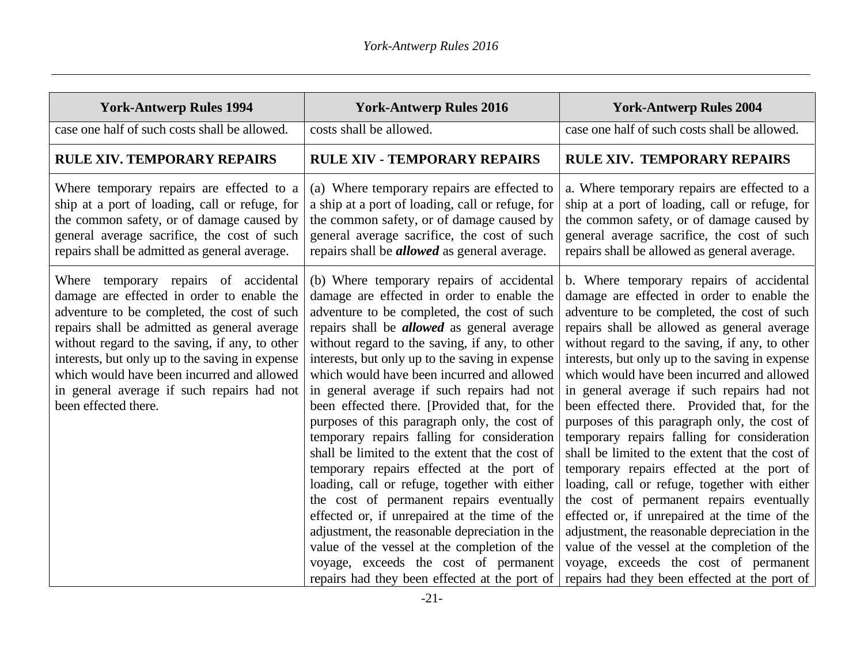| <b>York-Antwerp Rules 1994</b>                                                                                                                                                                                                                                                                                                                                                                              | <b>York-Antwerp Rules 2016</b>                                                                                                                                                                                                                                                                                                                                                                                                                                                                                                                                                                                                                                                                                                                                                                                                                                                                                                                                                         | <b>York-Antwerp Rules 2004</b>                                                                                                                                                                                                                                                                                                                                                                                                                                                                                                                                                                                                                                                                                                                                                                                                                                                                                                                                                |
|-------------------------------------------------------------------------------------------------------------------------------------------------------------------------------------------------------------------------------------------------------------------------------------------------------------------------------------------------------------------------------------------------------------|----------------------------------------------------------------------------------------------------------------------------------------------------------------------------------------------------------------------------------------------------------------------------------------------------------------------------------------------------------------------------------------------------------------------------------------------------------------------------------------------------------------------------------------------------------------------------------------------------------------------------------------------------------------------------------------------------------------------------------------------------------------------------------------------------------------------------------------------------------------------------------------------------------------------------------------------------------------------------------------|-------------------------------------------------------------------------------------------------------------------------------------------------------------------------------------------------------------------------------------------------------------------------------------------------------------------------------------------------------------------------------------------------------------------------------------------------------------------------------------------------------------------------------------------------------------------------------------------------------------------------------------------------------------------------------------------------------------------------------------------------------------------------------------------------------------------------------------------------------------------------------------------------------------------------------------------------------------------------------|
| case one half of such costs shall be allowed.                                                                                                                                                                                                                                                                                                                                                               | costs shall be allowed.                                                                                                                                                                                                                                                                                                                                                                                                                                                                                                                                                                                                                                                                                                                                                                                                                                                                                                                                                                | case one half of such costs shall be allowed.                                                                                                                                                                                                                                                                                                                                                                                                                                                                                                                                                                                                                                                                                                                                                                                                                                                                                                                                 |
| <b>RULE XIV. TEMPORARY REPAIRS</b>                                                                                                                                                                                                                                                                                                                                                                          | <b>RULE XIV - TEMPORARY REPAIRS</b>                                                                                                                                                                                                                                                                                                                                                                                                                                                                                                                                                                                                                                                                                                                                                                                                                                                                                                                                                    | <b>RULE XIV. TEMPORARY REPAIRS</b>                                                                                                                                                                                                                                                                                                                                                                                                                                                                                                                                                                                                                                                                                                                                                                                                                                                                                                                                            |
| Where temporary repairs are effected to a<br>ship at a port of loading, call or refuge, for<br>the common safety, or of damage caused by<br>general average sacrifice, the cost of such<br>repairs shall be admitted as general average.                                                                                                                                                                    | (a) Where temporary repairs are effected to<br>a ship at a port of loading, call or refuge, for<br>the common safety, or of damage caused by<br>general average sacrifice, the cost of such<br>repairs shall be <i>allowed</i> as general average.                                                                                                                                                                                                                                                                                                                                                                                                                                                                                                                                                                                                                                                                                                                                     | a. Where temporary repairs are effected to a<br>ship at a port of loading, call or refuge, for<br>the common safety, or of damage caused by<br>general average sacrifice, the cost of such<br>repairs shall be allowed as general average.                                                                                                                                                                                                                                                                                                                                                                                                                                                                                                                                                                                                                                                                                                                                    |
| Where temporary repairs of accidental<br>damage are effected in order to enable the<br>adventure to be completed, the cost of such<br>repairs shall be admitted as general average<br>without regard to the saving, if any, to other<br>interests, but only up to the saving in expense<br>which would have been incurred and allowed<br>in general average if such repairs had not<br>been effected there. | (b) Where temporary repairs of accidental<br>damage are effected in order to enable the<br>adventure to be completed, the cost of such<br>repairs shall be <i>allowed</i> as general average<br>without regard to the saving, if any, to other<br>interests, but only up to the saving in expense<br>which would have been incurred and allowed<br>in general average if such repairs had not<br>been effected there. [Provided that, for the<br>purposes of this paragraph only, the cost of<br>temporary repairs falling for consideration<br>shall be limited to the extent that the cost of<br>temporary repairs effected at the port of<br>loading, call or refuge, together with either<br>the cost of permanent repairs eventually<br>effected or, if unrepaired at the time of the<br>adjustment, the reasonable depreciation in the<br>value of the vessel at the completion of the<br>voyage, exceeds the cost of permanent<br>repairs had they been effected at the port of | b. Where temporary repairs of accidental<br>damage are effected in order to enable the<br>adventure to be completed, the cost of such<br>repairs shall be allowed as general average<br>without regard to the saving, if any, to other<br>interests, but only up to the saving in expense<br>which would have been incurred and allowed<br>in general average if such repairs had not<br>been effected there. Provided that, for the<br>purposes of this paragraph only, the cost of<br>temporary repairs falling for consideration<br>shall be limited to the extent that the cost of<br>temporary repairs effected at the port of<br>loading, call or refuge, together with either<br>the cost of permanent repairs eventually<br>effected or, if unrepaired at the time of the<br>adjustment, the reasonable depreciation in the<br>value of the vessel at the completion of the<br>voyage, exceeds the cost of permanent<br>repairs had they been effected at the port of |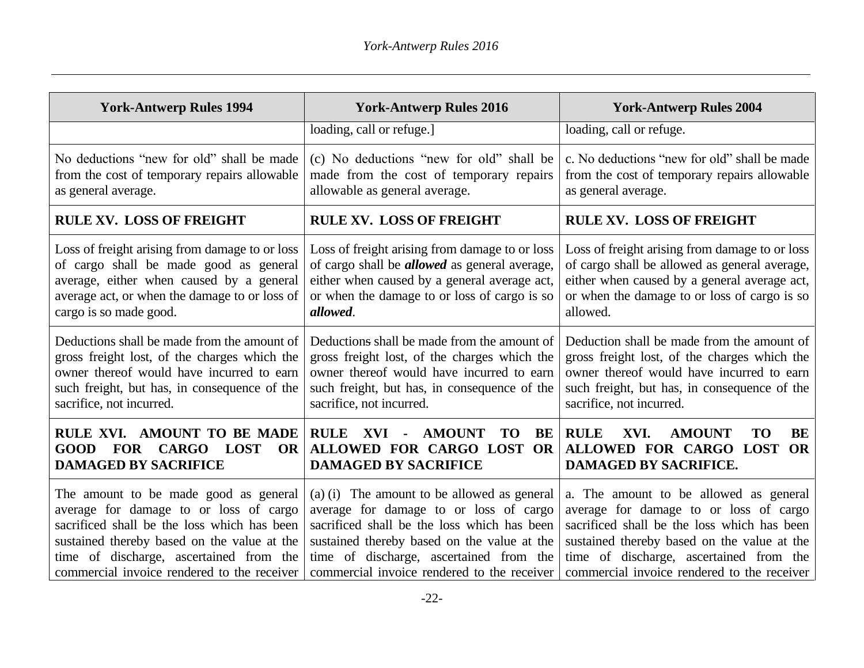| <b>York-Antwerp Rules 1994</b>                                                                              | <b>York-Antwerp Rules 2016</b>                                                                                                              | <b>York-Antwerp Rules 2004</b>                                                                                                 |
|-------------------------------------------------------------------------------------------------------------|---------------------------------------------------------------------------------------------------------------------------------------------|--------------------------------------------------------------------------------------------------------------------------------|
|                                                                                                             | loading, call or refuge.]                                                                                                                   | loading, call or refuge.                                                                                                       |
| No deductions "new for old" shall be made                                                                   | (c) No deductions "new for old" shall be                                                                                                    | c. No deductions "new for old" shall be made                                                                                   |
| from the cost of temporary repairs allowable                                                                | made from the cost of temporary repairs                                                                                                     | from the cost of temporary repairs allowable                                                                                   |
| as general average.                                                                                         | allowable as general average.                                                                                                               | as general average.                                                                                                            |
| <b>RULE XV. LOSS OF FREIGHT</b>                                                                             | <b>RULE XV. LOSS OF FREIGHT</b>                                                                                                             | <b>RULE XV. LOSS OF FREIGHT</b>                                                                                                |
| Loss of freight arising from damage to or loss                                                              | Loss of freight arising from damage to or loss                                                                                              | Loss of freight arising from damage to or loss                                                                                 |
| of cargo shall be made good as general                                                                      | of cargo shall be <i>allowed</i> as general average,                                                                                        | of cargo shall be allowed as general average,                                                                                  |
| average, either when caused by a general                                                                    | either when caused by a general average act,                                                                                                | either when caused by a general average act,                                                                                   |
| average act, or when the damage to or loss of                                                               | or when the damage to or loss of cargo is so                                                                                                | or when the damage to or loss of cargo is so                                                                                   |
| cargo is so made good.                                                                                      | allowed.                                                                                                                                    | allowed.                                                                                                                       |
| Deductions shall be made from the amount of                                                                 | Deductions shall be made from the amount of                                                                                                 | Deduction shall be made from the amount of                                                                                     |
| gross freight lost, of the charges which the                                                                | gross freight lost, of the charges which the                                                                                                | gross freight lost, of the charges which the                                                                                   |
| owner thereof would have incurred to earn                                                                   | owner thereof would have incurred to earn                                                                                                   | owner thereof would have incurred to earn                                                                                      |
| such freight, but has, in consequence of the                                                                | such freight, but has, in consequence of the                                                                                                | such freight, but has, in consequence of the                                                                                   |
| sacrifice, not incurred.                                                                                    | sacrifice, not incurred.                                                                                                                    | sacrifice, not incurred.                                                                                                       |
| RULE XVI. AMOUNT TO BE MADE<br><b>FOR CARGO</b><br><b>LOST</b><br>GOOD<br>OR<br><b>DAMAGED BY SACRIFICE</b> | <b>AMOUNT</b><br><b>TO</b><br><b>BE</b><br><b>RULE</b><br>XVI<br>$\blacksquare$<br>ALLOWED FOR CARGO LOST OR<br><b>DAMAGED BY SACRIFICE</b> | TO<br>BE<br><b>RULE</b><br>XVI.<br><b>AMOUNT</b><br><b>ALLOWED FOR CARGO LOST</b><br><b>OR</b><br><b>DAMAGED BY SACRIFICE.</b> |
| The amount to be made good as general                                                                       | (a) (i) The amount to be allowed as general                                                                                                 | a. The amount to be allowed as general                                                                                         |
| average for damage to or loss of cargo                                                                      | average for damage to or loss of cargo                                                                                                      | average for damage to or loss of cargo                                                                                         |
| sacrificed shall be the loss which has been                                                                 | sacrificed shall be the loss which has been                                                                                                 | sacrificed shall be the loss which has been                                                                                    |
| sustained thereby based on the value at the                                                                 | sustained thereby based on the value at the                                                                                                 | sustained thereby based on the value at the                                                                                    |
| time of discharge, ascertained from the                                                                     | time of discharge, ascertained from the                                                                                                     | time of discharge, ascertained from the                                                                                        |
| commercial invoice rendered to the receiver                                                                 | commercial invoice rendered to the receiver                                                                                                 | commercial invoice rendered to the receiver                                                                                    |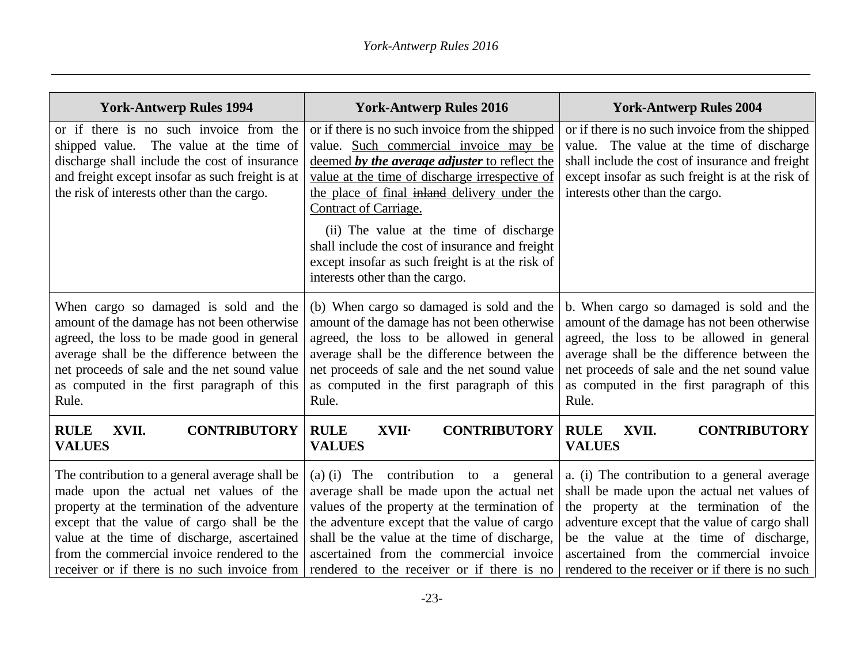| <b>York-Antwerp Rules 1994</b>                                                                                                                                                                                                         | <b>York-Antwerp Rules 2016</b>                                                                                                                                                                                                                                                                                                                                                                                                                            | <b>York-Antwerp Rules 2004</b>                                                                                                                                                                                                         |
|----------------------------------------------------------------------------------------------------------------------------------------------------------------------------------------------------------------------------------------|-----------------------------------------------------------------------------------------------------------------------------------------------------------------------------------------------------------------------------------------------------------------------------------------------------------------------------------------------------------------------------------------------------------------------------------------------------------|----------------------------------------------------------------------------------------------------------------------------------------------------------------------------------------------------------------------------------------|
| or if there is no such invoice from the<br>shipped value. The value at the time of<br>discharge shall include the cost of insurance<br>and freight except insofar as such freight is at<br>the risk of interests other than the cargo. | or if there is no such invoice from the shipped<br>value. Such commercial invoice may be<br>deemed by the average adjuster to reflect the<br>value at the time of discharge irrespective of<br>the place of final inland delivery under the<br>Contract of Carriage.<br>(ii) The value at the time of discharge<br>shall include the cost of insurance and freight<br>except insofar as such freight is at the risk of<br>interests other than the cargo. | or if there is no such invoice from the shipped<br>value. The value at the time of discharge<br>shall include the cost of insurance and freight<br>except insofar as such freight is at the risk of<br>interests other than the cargo. |
| When cargo so damaged is sold and the                                                                                                                                                                                                  | (b) When cargo so damaged is sold and the                                                                                                                                                                                                                                                                                                                                                                                                                 | b. When cargo so damaged is sold and the                                                                                                                                                                                               |
| amount of the damage has not been otherwise                                                                                                                                                                                            | amount of the damage has not been otherwise                                                                                                                                                                                                                                                                                                                                                                                                               | amount of the damage has not been otherwise                                                                                                                                                                                            |
| agreed, the loss to be made good in general                                                                                                                                                                                            | agreed, the loss to be allowed in general                                                                                                                                                                                                                                                                                                                                                                                                                 | agreed, the loss to be allowed in general                                                                                                                                                                                              |
| average shall be the difference between the                                                                                                                                                                                            | average shall be the difference between the                                                                                                                                                                                                                                                                                                                                                                                                               | average shall be the difference between the                                                                                                                                                                                            |
| net proceeds of sale and the net sound value                                                                                                                                                                                           | net proceeds of sale and the net sound value                                                                                                                                                                                                                                                                                                                                                                                                              | net proceeds of sale and the net sound value                                                                                                                                                                                           |
| as computed in the first paragraph of this                                                                                                                                                                                             | as computed in the first paragraph of this                                                                                                                                                                                                                                                                                                                                                                                                                | as computed in the first paragraph of this                                                                                                                                                                                             |
| Rule.                                                                                                                                                                                                                                  | Rule.                                                                                                                                                                                                                                                                                                                                                                                                                                                     | Rule.                                                                                                                                                                                                                                  |
| XVII.                                                                                                                                                                                                                                  | <b>RULE</b>                                                                                                                                                                                                                                                                                                                                                                                                                                               | XVII.                                                                                                                                                                                                                                  |
| <b>CONTRIBUTORY</b>                                                                                                                                                                                                                    | <b>XVII</b>                                                                                                                                                                                                                                                                                                                                                                                                                                               | <b>CONTRIBUTORY</b>                                                                                                                                                                                                                    |
| <b>RULE</b>                                                                                                                                                                                                                            | <b>CONTRIBUTORY</b>                                                                                                                                                                                                                                                                                                                                                                                                                                       | <b>RULE</b>                                                                                                                                                                                                                            |
| <b>VALUES</b>                                                                                                                                                                                                                          | <b>VALUES</b>                                                                                                                                                                                                                                                                                                                                                                                                                                             | <b>VALUES</b>                                                                                                                                                                                                                          |
| The contribution to a general average shall be                                                                                                                                                                                         | (a) (i) The contribution to a general                                                                                                                                                                                                                                                                                                                                                                                                                     | a. (i) The contribution to a general average                                                                                                                                                                                           |
| made upon the actual net values of the                                                                                                                                                                                                 | average shall be made upon the actual net                                                                                                                                                                                                                                                                                                                                                                                                                 | shall be made upon the actual net values of                                                                                                                                                                                            |
| property at the termination of the adventure                                                                                                                                                                                           | values of the property at the termination of                                                                                                                                                                                                                                                                                                                                                                                                              | the property at the termination of the                                                                                                                                                                                                 |
| except that the value of cargo shall be the                                                                                                                                                                                            | the adventure except that the value of cargo                                                                                                                                                                                                                                                                                                                                                                                                              | adventure except that the value of cargo shall                                                                                                                                                                                         |
| value at the time of discharge, ascertained                                                                                                                                                                                            | shall be the value at the time of discharge,                                                                                                                                                                                                                                                                                                                                                                                                              | be the value at the time of discharge,                                                                                                                                                                                                 |
| from the commercial invoice rendered to the                                                                                                                                                                                            | ascertained from the commercial invoice                                                                                                                                                                                                                                                                                                                                                                                                                   | ascertained from the commercial invoice                                                                                                                                                                                                |
| receiver or if there is no such invoice from                                                                                                                                                                                           | rendered to the receiver or if there is no                                                                                                                                                                                                                                                                                                                                                                                                                | rendered to the receiver or if there is no such                                                                                                                                                                                        |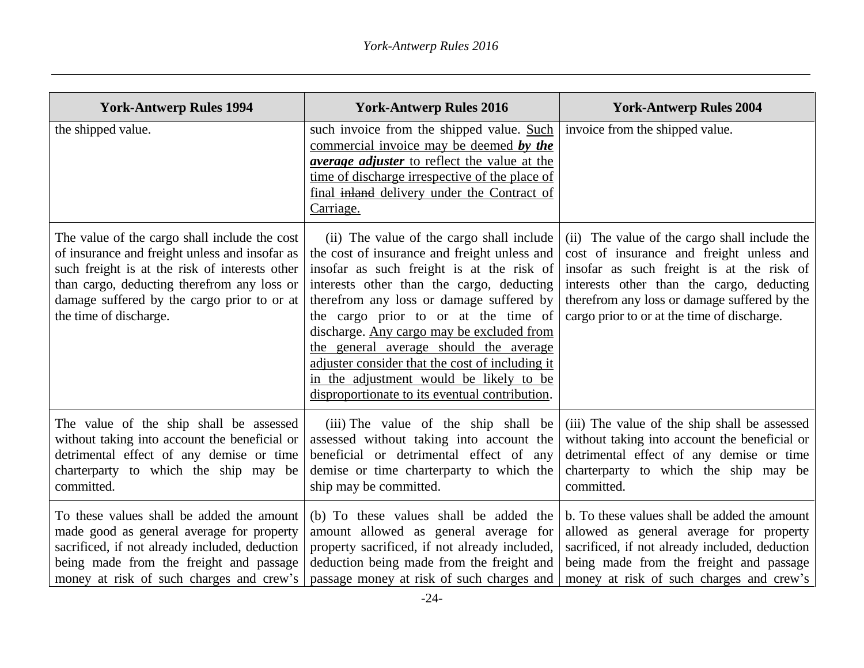| <b>York-Antwerp Rules 1994</b>                                                                                                                                                                                                                                            | <b>York-Antwerp Rules 2016</b>                                                                                                                                                                                                                                                                                                                                                                                                                                                                                 | <b>York-Antwerp Rules 2004</b>                                                                                                                                                                                                                                                     |
|---------------------------------------------------------------------------------------------------------------------------------------------------------------------------------------------------------------------------------------------------------------------------|----------------------------------------------------------------------------------------------------------------------------------------------------------------------------------------------------------------------------------------------------------------------------------------------------------------------------------------------------------------------------------------------------------------------------------------------------------------------------------------------------------------|------------------------------------------------------------------------------------------------------------------------------------------------------------------------------------------------------------------------------------------------------------------------------------|
| the shipped value.                                                                                                                                                                                                                                                        | such invoice from the shipped value. Such<br>commercial invoice may be deemed by the<br><i>average adjuster</i> to reflect the value at the<br>time of discharge irrespective of the place of<br>final inland delivery under the Contract of<br>Carriage.                                                                                                                                                                                                                                                      | invoice from the shipped value.                                                                                                                                                                                                                                                    |
| The value of the cargo shall include the cost<br>of insurance and freight unless and insofar as<br>such freight is at the risk of interests other<br>than cargo, deducting therefrom any loss or<br>damage suffered by the cargo prior to or at<br>the time of discharge. | (ii) The value of the cargo shall include<br>the cost of insurance and freight unless and<br>insofar as such freight is at the risk of<br>interests other than the cargo, deducting<br>therefrom any loss or damage suffered by<br>the cargo prior to or at the time of<br>discharge. Any cargo may be excluded from<br>the general average should the average<br>adjuster consider that the cost of including it<br>in the adjustment would be likely to be<br>disproportionate to its eventual contribution. | (ii) The value of the cargo shall include the<br>cost of insurance and freight unless and<br>insofar as such freight is at the risk of<br>interests other than the cargo, deducting<br>therefrom any loss or damage suffered by the<br>cargo prior to or at the time of discharge. |
| The value of the ship shall be assessed<br>without taking into account the beneficial or<br>detrimental effect of any demise or time<br>charterparty to which the ship may be<br>committed.                                                                               | (iii) The value of the ship shall be<br>assessed without taking into account the<br>beneficial or detrimental effect of any<br>demise or time charterparty to which the<br>ship may be committed.                                                                                                                                                                                                                                                                                                              | (iii) The value of the ship shall be assessed<br>without taking into account the beneficial or<br>detrimental effect of any demise or time<br>charterparty to which the ship may be<br>committed.                                                                                  |
| To these values shall be added the amount<br>made good as general average for property<br>sacrificed, if not already included, deduction<br>being made from the freight and passage<br>money at risk of such charges and crew's                                           | (b) To these values shall be added the<br>amount allowed as general average for<br>property sacrificed, if not already included,<br>deduction being made from the freight and<br>passage money at risk of such charges and                                                                                                                                                                                                                                                                                     | b. To these values shall be added the amount<br>allowed as general average for property<br>sacrificed, if not already included, deduction<br>being made from the freight and passage<br>money at risk of such charges and crew's                                                   |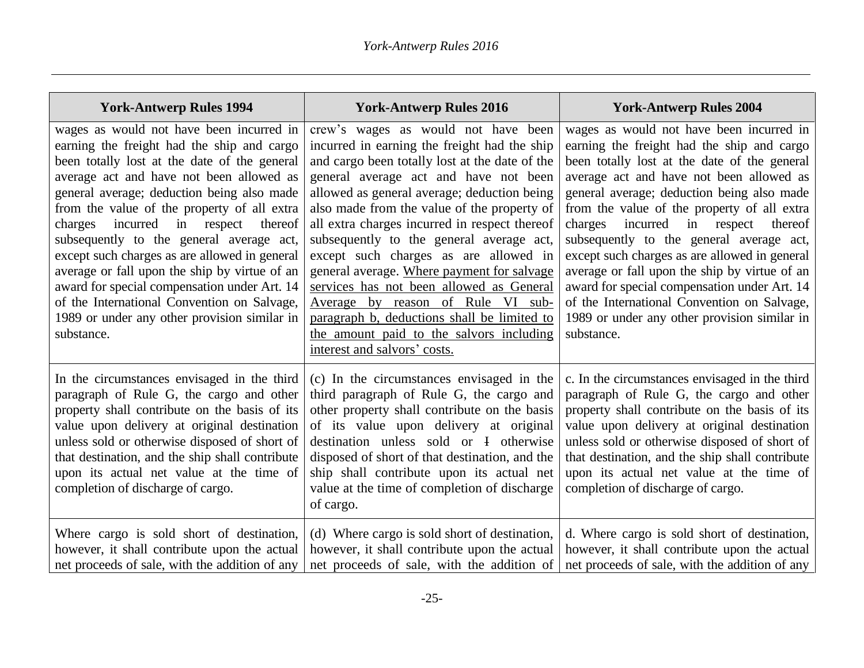| <b>York-Antwerp Rules 1994</b>                                                                                                                                                                                                                                                                                                                                                                                                                                                                                                                                                                                                          | <b>York-Antwerp Rules 2016</b>                                                                                                                                                                                                                                                                                                                                                                                                                                                                                                                                                                                                                                               | <b>York-Antwerp Rules 2004</b>                                                                                                                                                                                                                                                                                                                                                                                                                                                                                                                                                                                                          |
|-----------------------------------------------------------------------------------------------------------------------------------------------------------------------------------------------------------------------------------------------------------------------------------------------------------------------------------------------------------------------------------------------------------------------------------------------------------------------------------------------------------------------------------------------------------------------------------------------------------------------------------------|------------------------------------------------------------------------------------------------------------------------------------------------------------------------------------------------------------------------------------------------------------------------------------------------------------------------------------------------------------------------------------------------------------------------------------------------------------------------------------------------------------------------------------------------------------------------------------------------------------------------------------------------------------------------------|-----------------------------------------------------------------------------------------------------------------------------------------------------------------------------------------------------------------------------------------------------------------------------------------------------------------------------------------------------------------------------------------------------------------------------------------------------------------------------------------------------------------------------------------------------------------------------------------------------------------------------------------|
| wages as would not have been incurred in<br>earning the freight had the ship and cargo<br>been totally lost at the date of the general<br>average act and have not been allowed as<br>general average; deduction being also made<br>from the value of the property of all extra<br>incurred in respect<br>thereof<br>charges<br>subsequently to the general average act,<br>except such charges as are allowed in general<br>average or fall upon the ship by virtue of an<br>award for special compensation under Art. 14<br>of the International Convention on Salvage,<br>1989 or under any other provision similar in<br>substance. | crew's wages as would not have been<br>incurred in earning the freight had the ship<br>and cargo been totally lost at the date of the<br>general average act and have not been<br>allowed as general average; deduction being<br>also made from the value of the property of<br>all extra charges incurred in respect thereof<br>subsequently to the general average act,<br>except such charges as are allowed in<br>general average. Where payment for salvage<br>services has not been allowed as General<br>Average by reason of Rule VI sub-<br>paragraph b, deductions shall be limited to<br>the amount paid to the salvors including<br>interest and salvors' costs. | wages as would not have been incurred in<br>earning the freight had the ship and cargo<br>been totally lost at the date of the general<br>average act and have not been allowed as<br>general average; deduction being also made<br>from the value of the property of all extra<br>incurred in respect<br>charges<br>thereof<br>subsequently to the general average act,<br>except such charges as are allowed in general<br>average or fall upon the ship by virtue of an<br>award for special compensation under Art. 14<br>of the International Convention on Salvage,<br>1989 or under any other provision similar in<br>substance. |
| In the circumstances envisaged in the third<br>paragraph of Rule G, the cargo and other<br>property shall contribute on the basis of its<br>value upon delivery at original destination<br>unless sold or otherwise disposed of short of<br>that destination, and the ship shall contribute<br>upon its actual net value at the time of<br>completion of discharge of cargo.                                                                                                                                                                                                                                                            | (c) In the circumstances envisaged in the<br>third paragraph of Rule G, the cargo and<br>other property shall contribute on the basis<br>of its value upon delivery at original<br>destination unless sold or I otherwise<br>disposed of short of that destination, and the<br>ship shall contribute upon its actual net<br>value at the time of completion of discharge<br>of cargo.                                                                                                                                                                                                                                                                                        | c. In the circumstances envisaged in the third<br>paragraph of Rule G, the cargo and other<br>property shall contribute on the basis of its<br>value upon delivery at original destination<br>unless sold or otherwise disposed of short of<br>that destination, and the ship shall contribute<br>upon its actual net value at the time of<br>completion of discharge of cargo.                                                                                                                                                                                                                                                         |
| Where cargo is sold short of destination,<br>however, it shall contribute upon the actual<br>net proceeds of sale, with the addition of any                                                                                                                                                                                                                                                                                                                                                                                                                                                                                             | (d) Where cargo is sold short of destination,<br>however, it shall contribute upon the actual<br>net proceeds of sale, with the addition of                                                                                                                                                                                                                                                                                                                                                                                                                                                                                                                                  | d. Where cargo is sold short of destination,<br>however, it shall contribute upon the actual<br>net proceeds of sale, with the addition of any                                                                                                                                                                                                                                                                                                                                                                                                                                                                                          |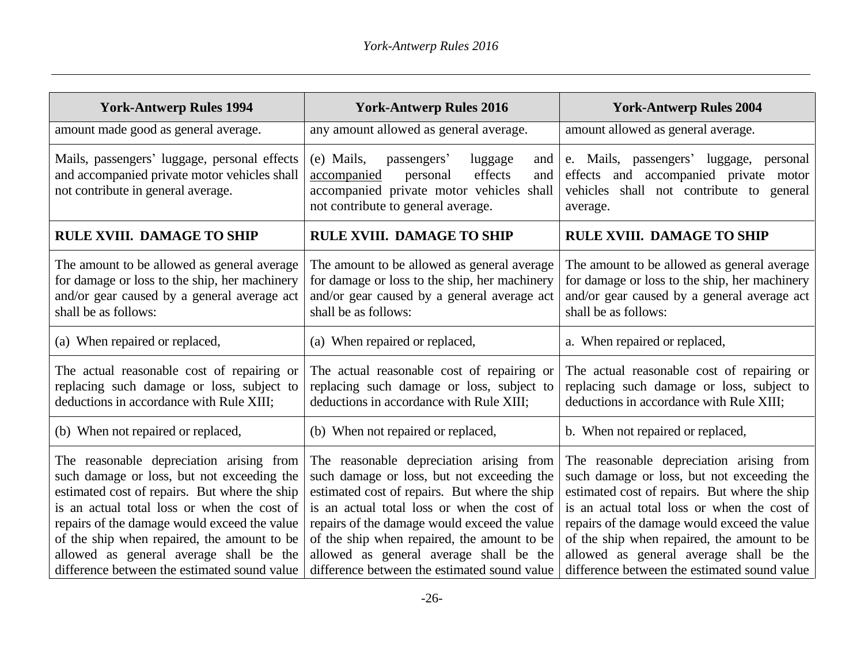| <b>York-Antwerp Rules 1994</b>                                                                                                                                                                                                                                                                                                                                                   | <b>York-Antwerp Rules 2016</b>                                                                                                                                                                                                                                                                                                                                                   | <b>York-Antwerp Rules 2004</b>                                                                                                                                                                                                                                                                                                                                                   |
|----------------------------------------------------------------------------------------------------------------------------------------------------------------------------------------------------------------------------------------------------------------------------------------------------------------------------------------------------------------------------------|----------------------------------------------------------------------------------------------------------------------------------------------------------------------------------------------------------------------------------------------------------------------------------------------------------------------------------------------------------------------------------|----------------------------------------------------------------------------------------------------------------------------------------------------------------------------------------------------------------------------------------------------------------------------------------------------------------------------------------------------------------------------------|
| amount made good as general average.                                                                                                                                                                                                                                                                                                                                             | any amount allowed as general average.                                                                                                                                                                                                                                                                                                                                           | amount allowed as general average.                                                                                                                                                                                                                                                                                                                                               |
| Mails, passengers' luggage, personal effects<br>and accompanied private motor vehicles shall<br>not contribute in general average.                                                                                                                                                                                                                                               | (e) Mails,<br>passengers'<br>luggage<br>and<br>effects<br>accompanied<br>personal<br>and  <br>accompanied private motor vehicles shall<br>not contribute to general average.                                                                                                                                                                                                     | e. Mails, passengers' luggage,<br>personal<br>effects and accompanied private motor<br>vehicles shall not contribute to general<br>average.                                                                                                                                                                                                                                      |
| <b>RULE XVIII. DAMAGE TO SHIP</b>                                                                                                                                                                                                                                                                                                                                                | <b>RULE XVIII. DAMAGE TO SHIP</b>                                                                                                                                                                                                                                                                                                                                                | <b>RULE XVIII. DAMAGE TO SHIP</b>                                                                                                                                                                                                                                                                                                                                                |
| The amount to be allowed as general average<br>for damage or loss to the ship, her machinery<br>and/or gear caused by a general average act<br>shall be as follows:                                                                                                                                                                                                              | The amount to be allowed as general average<br>for damage or loss to the ship, her machinery<br>and/or gear caused by a general average act<br>shall be as follows:                                                                                                                                                                                                              | The amount to be allowed as general average<br>for damage or loss to the ship, her machinery<br>and/or gear caused by a general average act<br>shall be as follows:                                                                                                                                                                                                              |
| (a) When repaired or replaced,                                                                                                                                                                                                                                                                                                                                                   | (a) When repaired or replaced,                                                                                                                                                                                                                                                                                                                                                   | a. When repaired or replaced,                                                                                                                                                                                                                                                                                                                                                    |
| The actual reasonable cost of repairing or<br>replacing such damage or loss, subject to<br>deductions in accordance with Rule XIII;                                                                                                                                                                                                                                              | The actual reasonable cost of repairing or<br>replacing such damage or loss, subject to<br>deductions in accordance with Rule XIII;                                                                                                                                                                                                                                              | The actual reasonable cost of repairing or<br>replacing such damage or loss, subject to<br>deductions in accordance with Rule XIII;                                                                                                                                                                                                                                              |
| (b) When not repaired or replaced,                                                                                                                                                                                                                                                                                                                                               | (b) When not repaired or replaced,                                                                                                                                                                                                                                                                                                                                               | b. When not repaired or replaced,                                                                                                                                                                                                                                                                                                                                                |
| The reasonable depreciation arising from<br>such damage or loss, but not exceeding the<br>estimated cost of repairs. But where the ship<br>is an actual total loss or when the cost of<br>repairs of the damage would exceed the value<br>of the ship when repaired, the amount to be<br>allowed as general average shall be the<br>difference between the estimated sound value | The reasonable depreciation arising from<br>such damage or loss, but not exceeding the<br>estimated cost of repairs. But where the ship<br>is an actual total loss or when the cost of<br>repairs of the damage would exceed the value<br>of the ship when repaired, the amount to be<br>allowed as general average shall be the<br>difference between the estimated sound value | The reasonable depreciation arising from<br>such damage or loss, but not exceeding the<br>estimated cost of repairs. But where the ship<br>is an actual total loss or when the cost of<br>repairs of the damage would exceed the value<br>of the ship when repaired, the amount to be<br>allowed as general average shall be the<br>difference between the estimated sound value |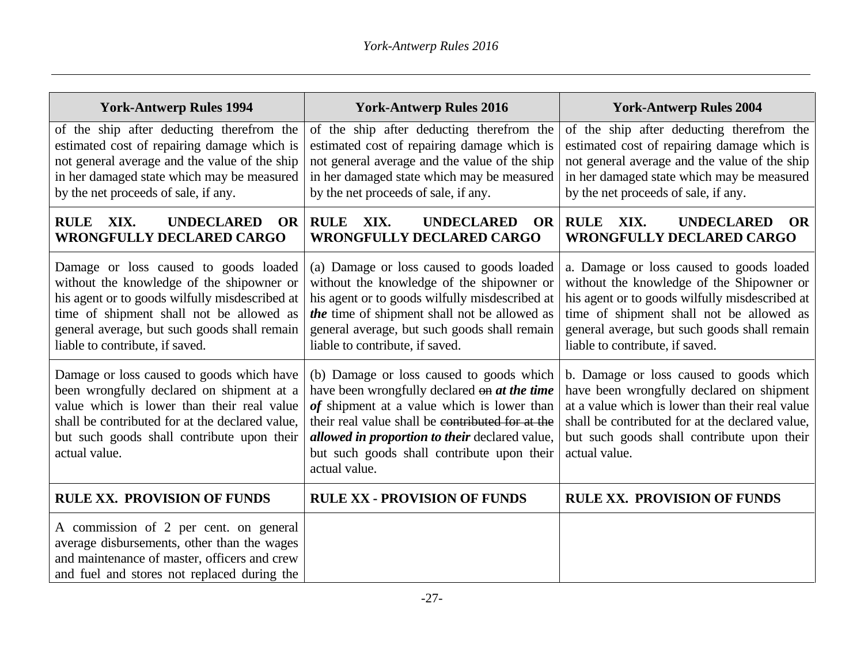| <b>York-Antwerp Rules 1994</b>                                                                                                                                                                                                                                      | <b>York-Antwerp Rules 2016</b>                                                                                                                                                                                                                                                                                     | <b>York-Antwerp Rules 2004</b>                                                                                                                                                                                                                                         |
|---------------------------------------------------------------------------------------------------------------------------------------------------------------------------------------------------------------------------------------------------------------------|--------------------------------------------------------------------------------------------------------------------------------------------------------------------------------------------------------------------------------------------------------------------------------------------------------------------|------------------------------------------------------------------------------------------------------------------------------------------------------------------------------------------------------------------------------------------------------------------------|
| of the ship after deducting therefrom the<br>estimated cost of repairing damage which is<br>not general average and the value of the ship<br>in her damaged state which may be measured<br>by the net proceeds of sale, if any.                                     | of the ship after deducting therefrom the<br>estimated cost of repairing damage which is<br>not general average and the value of the ship<br>in her damaged state which may be measured<br>by the net proceeds of sale, if any.                                                                                    | of the ship after deducting therefrom the<br>estimated cost of repairing damage which is<br>not general average and the value of the ship<br>in her damaged state which may be measured<br>by the net proceeds of sale, if any.                                        |
| XIX.<br><b>UNDECLARED</b><br><b>RULE</b><br>OR  <br><b>WRONGFULLY DECLARED CARGO</b>                                                                                                                                                                                | XIX.<br><b>RULE</b><br><b>UNDECLARED</b><br><b>OR</b><br><b>WRONGFULLY DECLARED CARGO</b>                                                                                                                                                                                                                          | <b>UNDECLARED</b><br><b>RULE</b><br>XIX.<br><b>OR</b><br><b>WRONGFULLY DECLARED CARGO</b>                                                                                                                                                                              |
| Damage or loss caused to goods loaded<br>without the knowledge of the shipowner or<br>his agent or to goods wilfully misdescribed at<br>time of shipment shall not be allowed as<br>general average, but such goods shall remain<br>liable to contribute, if saved. | (a) Damage or loss caused to goods loaded<br>without the knowledge of the shipowner or<br>his agent or to goods wilfully misdescribed at<br>the time of shipment shall not be allowed as<br>general average, but such goods shall remain<br>liable to contribute, if saved.                                        | a. Damage or loss caused to goods loaded<br>without the knowledge of the Shipowner or<br>his agent or to goods wilfully misdescribed at<br>time of shipment shall not be allowed as<br>general average, but such goods shall remain<br>liable to contribute, if saved. |
| Damage or loss caused to goods which have<br>been wrongfully declared on shipment at a<br>value which is lower than their real value<br>shall be contributed for at the declared value,<br>but such goods shall contribute upon their<br>actual value.              | (b) Damage or loss caused to goods which<br>have been wrongfully declared on at the time<br>of shipment at a value which is lower than<br>their real value shall be contributed for at the<br><i>allowed in proportion to their declared value,</i><br>but such goods shall contribute upon their<br>actual value. | b. Damage or loss caused to goods which<br>have been wrongfully declared on shipment<br>at a value which is lower than their real value<br>shall be contributed for at the declared value,<br>but such goods shall contribute upon their<br>actual value.              |
| <b>RULE XX. PROVISION OF FUNDS</b>                                                                                                                                                                                                                                  | <b>RULE XX - PROVISION OF FUNDS</b>                                                                                                                                                                                                                                                                                | <b>RULE XX. PROVISION OF FUNDS</b>                                                                                                                                                                                                                                     |
| A commission of 2 per cent. on general<br>average disbursements, other than the wages<br>and maintenance of master, officers and crew<br>and fuel and stores not replaced during the                                                                                |                                                                                                                                                                                                                                                                                                                    |                                                                                                                                                                                                                                                                        |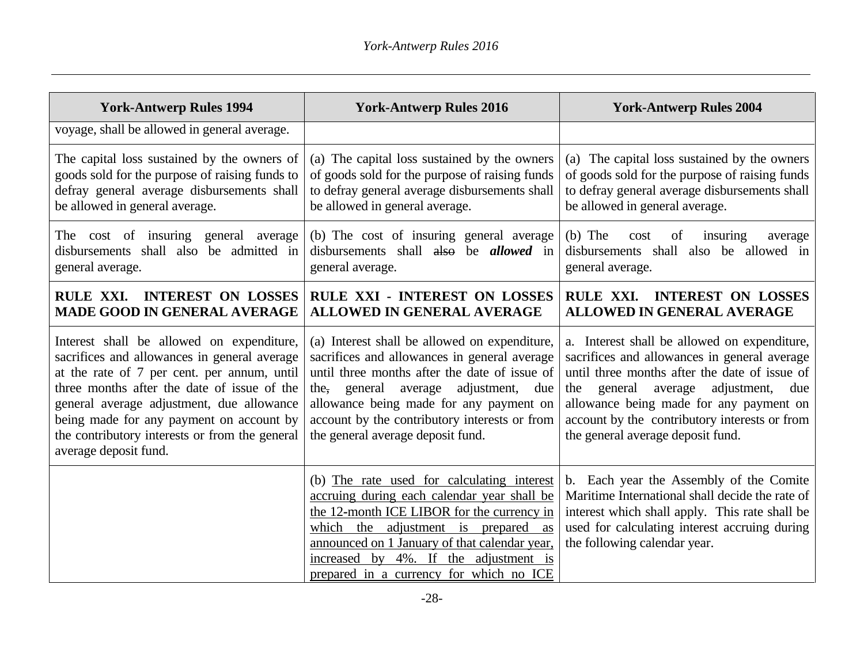| <b>York-Antwerp Rules 1994</b>                                                                                                                                                                                                                                                                                                                              | <b>York-Antwerp Rules 2016</b>                                                                                                                                                                                                                                                                                                | <b>York-Antwerp Rules 2004</b>                                                                                                                                                                                                                                                                                              |
|-------------------------------------------------------------------------------------------------------------------------------------------------------------------------------------------------------------------------------------------------------------------------------------------------------------------------------------------------------------|-------------------------------------------------------------------------------------------------------------------------------------------------------------------------------------------------------------------------------------------------------------------------------------------------------------------------------|-----------------------------------------------------------------------------------------------------------------------------------------------------------------------------------------------------------------------------------------------------------------------------------------------------------------------------|
| voyage, shall be allowed in general average.                                                                                                                                                                                                                                                                                                                |                                                                                                                                                                                                                                                                                                                               |                                                                                                                                                                                                                                                                                                                             |
| The capital loss sustained by the owners of<br>goods sold for the purpose of raising funds to<br>defray general average disbursements shall<br>be allowed in general average.                                                                                                                                                                               | (a) The capital loss sustained by the owners<br>of goods sold for the purpose of raising funds<br>to defray general average disbursements shall<br>be allowed in general average.                                                                                                                                             | (a) The capital loss sustained by the owners<br>of goods sold for the purpose of raising funds<br>to defray general average disbursements shall<br>be allowed in general average.                                                                                                                                           |
| The cost of insuring general average<br>disbursements shall also be admitted in<br>general average.                                                                                                                                                                                                                                                         | (b) The cost of insuring general average<br>disbursements shall also be <i>allowed</i> in<br>general average.                                                                                                                                                                                                                 | $(b)$ The<br>insuring<br>of<br>cost<br>average<br>disbursements shall also be allowed in<br>general average.                                                                                                                                                                                                                |
| <b>INTEREST ON LOSSES</b><br>RULE XXI.<br><b>MADE GOOD IN GENERAL AVERAGE</b>                                                                                                                                                                                                                                                                               | <b>RULE XXI - INTEREST ON LOSSES</b><br><b>ALLOWED IN GENERAL AVERAGE</b>                                                                                                                                                                                                                                                     | RULE XXI. INTEREST ON LOSSES<br><b>ALLOWED IN GENERAL AVERAGE</b>                                                                                                                                                                                                                                                           |
| Interest shall be allowed on expenditure,<br>sacrifices and allowances in general average<br>at the rate of 7 per cent. per annum, until<br>three months after the date of issue of the<br>general average adjustment, due allowance<br>being made for any payment on account by<br>the contributory interests or from the general<br>average deposit fund. | (a) Interest shall be allowed on expenditure,<br>sacrifices and allowances in general average<br>until three months after the date of issue of<br>the, general average<br>adjustment,<br>due<br>allowance being made for any payment on<br>account by the contributory interests or from<br>the general average deposit fund. | a. Interest shall be allowed on expenditure,<br>sacrifices and allowances in general average<br>until three months after the date of issue of<br>average adjustment,<br>the general<br>due<br>allowance being made for any payment on<br>account by the contributory interests or from<br>the general average deposit fund. |
|                                                                                                                                                                                                                                                                                                                                                             | (b) The rate used for calculating interest<br>accruing during each calendar year shall be<br>the 12-month ICE LIBOR for the currency in<br>which the adjustment is prepared<br>as<br>announced on 1 January of that calendar year,<br>increased by 4%. If the adjustment is<br>prepared in a currency for which no ICE        | b. Each year the Assembly of the Comite<br>Maritime International shall decide the rate of<br>interest which shall apply. This rate shall be<br>used for calculating interest accruing during<br>the following calendar year.                                                                                               |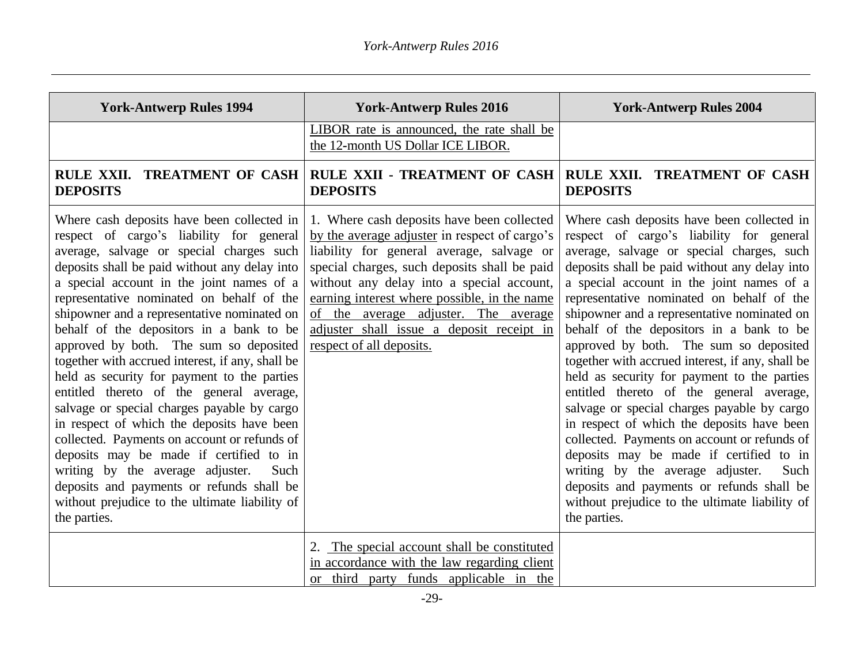| <b>York-Antwerp Rules 1994</b>                                                                                                                                                                                                                                                                                                                                                                                                                                                                                                                                                                                                                                                                                                                                                                                                                                                                                       | <b>York-Antwerp Rules 2016</b>                                                                                                                                                                                                                                                                                                                                                                         | <b>York-Antwerp Rules 2004</b>                                                                                                                                                                                                                                                                                                                                                                                                                                                                                                                                                                                                                                                                                                                                                                                                                                                                                        |
|----------------------------------------------------------------------------------------------------------------------------------------------------------------------------------------------------------------------------------------------------------------------------------------------------------------------------------------------------------------------------------------------------------------------------------------------------------------------------------------------------------------------------------------------------------------------------------------------------------------------------------------------------------------------------------------------------------------------------------------------------------------------------------------------------------------------------------------------------------------------------------------------------------------------|--------------------------------------------------------------------------------------------------------------------------------------------------------------------------------------------------------------------------------------------------------------------------------------------------------------------------------------------------------------------------------------------------------|-----------------------------------------------------------------------------------------------------------------------------------------------------------------------------------------------------------------------------------------------------------------------------------------------------------------------------------------------------------------------------------------------------------------------------------------------------------------------------------------------------------------------------------------------------------------------------------------------------------------------------------------------------------------------------------------------------------------------------------------------------------------------------------------------------------------------------------------------------------------------------------------------------------------------|
|                                                                                                                                                                                                                                                                                                                                                                                                                                                                                                                                                                                                                                                                                                                                                                                                                                                                                                                      | LIBOR rate is announced, the rate shall be<br>the 12-month US Dollar ICE LIBOR.                                                                                                                                                                                                                                                                                                                        |                                                                                                                                                                                                                                                                                                                                                                                                                                                                                                                                                                                                                                                                                                                                                                                                                                                                                                                       |
| RULE XXII. TREATMENT OF CASH<br><b>DEPOSITS</b>                                                                                                                                                                                                                                                                                                                                                                                                                                                                                                                                                                                                                                                                                                                                                                                                                                                                      | RULE XXII - TREATMENT OF CASH<br><b>DEPOSITS</b>                                                                                                                                                                                                                                                                                                                                                       | RULE XXII. TREATMENT OF CASH<br><b>DEPOSITS</b>                                                                                                                                                                                                                                                                                                                                                                                                                                                                                                                                                                                                                                                                                                                                                                                                                                                                       |
| Where cash deposits have been collected in<br>respect of cargo's liability for general<br>average, salvage or special charges such<br>deposits shall be paid without any delay into<br>a special account in the joint names of a<br>representative nominated on behalf of the<br>shipowner and a representative nominated on<br>behalf of the depositors in a bank to be<br>approved by both. The sum so deposited<br>together with accrued interest, if any, shall be<br>held as security for payment to the parties<br>entitled thereto of the general average,<br>salvage or special charges payable by cargo<br>in respect of which the deposits have been<br>collected. Payments on account or refunds of<br>deposits may be made if certified to in<br>writing by the average adjuster.<br>Such<br>deposits and payments or refunds shall be<br>without prejudice to the ultimate liability of<br>the parties. | 1. Where cash deposits have been collected<br>by the average adjuster in respect of cargo's<br>liability for general average, salvage or<br>special charges, such deposits shall be paid<br>without any delay into a special account,<br>earning interest where possible, in the name<br>of the average adjuster. The average<br>adjuster shall issue a deposit receipt in<br>respect of all deposits. | Where cash deposits have been collected in<br>respect of cargo's liability for general<br>average, salvage or special charges, such<br>deposits shall be paid without any delay into<br>a special account in the joint names of a<br>representative nominated on behalf of the<br>shipowner and a representative nominated on<br>behalf of the depositors in a bank to be<br>approved by both. The sum so deposited<br>together with accrued interest, if any, shall be<br>held as security for payment to the parties<br>entitled thereto of the general average,<br>salvage or special charges payable by cargo<br>in respect of which the deposits have been<br>collected. Payments on account or refunds of<br>deposits may be made if certified to in<br>writing by the average adjuster.<br>Such<br>deposits and payments or refunds shall be<br>without prejudice to the ultimate liability of<br>the parties. |
|                                                                                                                                                                                                                                                                                                                                                                                                                                                                                                                                                                                                                                                                                                                                                                                                                                                                                                                      | 2. The special account shall be constituted<br>in accordance with the law regarding client<br>or third party funds applicable in the                                                                                                                                                                                                                                                                   |                                                                                                                                                                                                                                                                                                                                                                                                                                                                                                                                                                                                                                                                                                                                                                                                                                                                                                                       |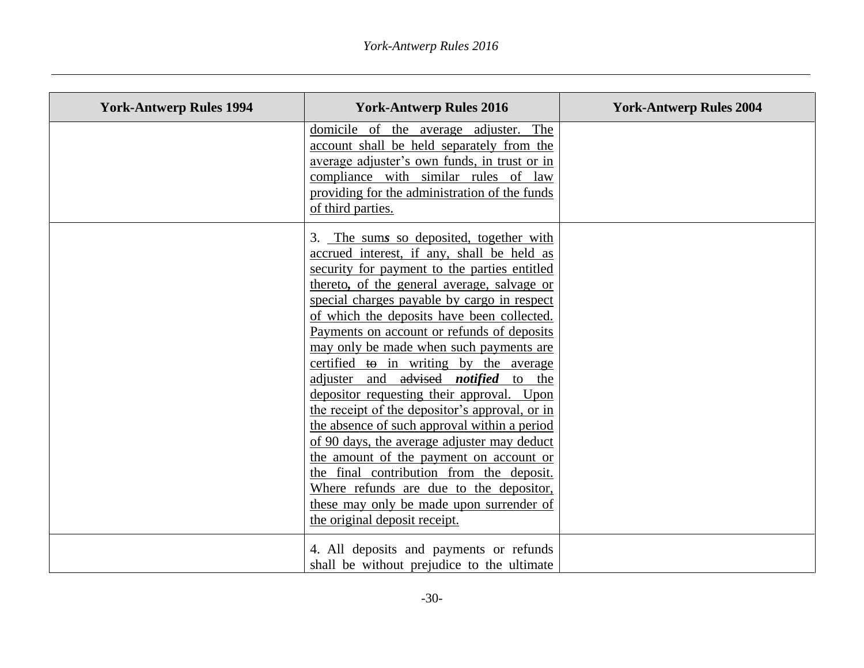| <b>York-Antwerp Rules 1994</b> | <b>York-Antwerp Rules 2016</b>                                                                                                                                                                                                                                                                                                                                                                                                                                                                                                                                                                                                                                                                                                                                                                                                                                                   | <b>York-Antwerp Rules 2004</b> |
|--------------------------------|----------------------------------------------------------------------------------------------------------------------------------------------------------------------------------------------------------------------------------------------------------------------------------------------------------------------------------------------------------------------------------------------------------------------------------------------------------------------------------------------------------------------------------------------------------------------------------------------------------------------------------------------------------------------------------------------------------------------------------------------------------------------------------------------------------------------------------------------------------------------------------|--------------------------------|
|                                | domicile of the average adjuster. The<br>account shall be held separately from the<br>average adjuster's own funds, in trust or in<br>compliance with similar rules of law<br>providing for the administration of the funds<br>of third parties.                                                                                                                                                                                                                                                                                                                                                                                                                                                                                                                                                                                                                                 |                                |
|                                | 3. The sums so deposited, together with<br>accrued interest, if any, shall be held as<br>security for payment to the parties entitled<br>thereto, of the general average, salvage or<br>special charges payable by cargo in respect<br>of which the deposits have been collected.<br>Payments on account or refunds of deposits<br>may only be made when such payments are<br>certified to in writing by the average<br>adjuster and advised <i>notified</i> to the<br>depositor requesting their approval. Upon<br>the receipt of the depositor's approval, or in<br>the absence of such approval within a period<br>of 90 days, the average adjuster may deduct<br>the amount of the payment on account or<br>the final contribution from the deposit.<br>Where refunds are due to the depositor,<br>these may only be made upon surrender of<br>the original deposit receipt. |                                |
|                                | 4. All deposits and payments or refunds<br>shall be without prejudice to the ultimate                                                                                                                                                                                                                                                                                                                                                                                                                                                                                                                                                                                                                                                                                                                                                                                            |                                |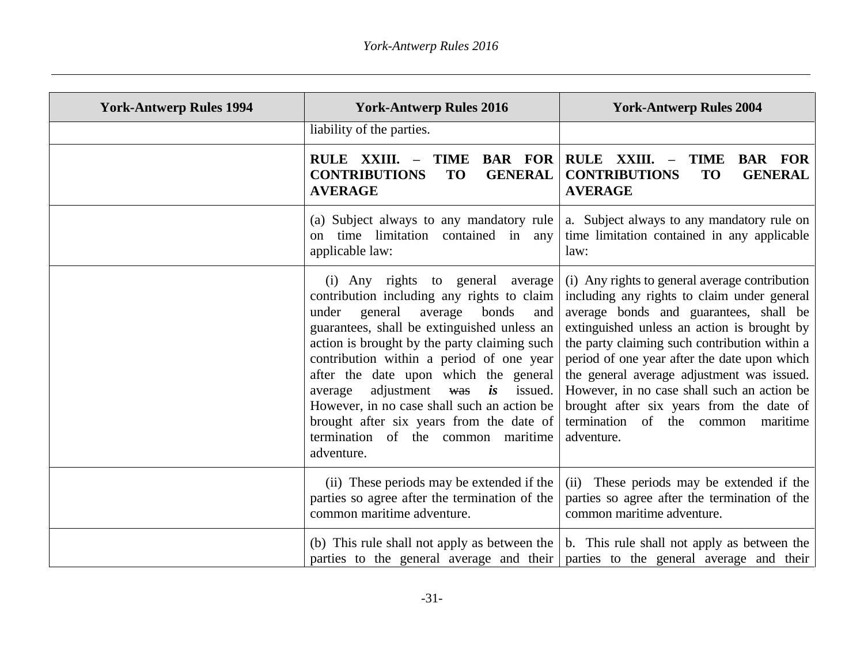| <b>York-Antwerp Rules 1994</b> | <b>York-Antwerp Rules 2016</b>                                                                                                                                                                                                                                                                                                                                                                                                                                                                                                  | <b>York-Antwerp Rules 2004</b>                                                                                                                                                                                                                                                                                                                                                                                                                                                             |
|--------------------------------|---------------------------------------------------------------------------------------------------------------------------------------------------------------------------------------------------------------------------------------------------------------------------------------------------------------------------------------------------------------------------------------------------------------------------------------------------------------------------------------------------------------------------------|--------------------------------------------------------------------------------------------------------------------------------------------------------------------------------------------------------------------------------------------------------------------------------------------------------------------------------------------------------------------------------------------------------------------------------------------------------------------------------------------|
|                                | liability of the parties.                                                                                                                                                                                                                                                                                                                                                                                                                                                                                                       |                                                                                                                                                                                                                                                                                                                                                                                                                                                                                            |
|                                | RULE XXIII. -<br><b>TIME</b><br><b>BAR FOR</b><br><b>CONTRIBUTIONS</b><br><b>TO</b><br><b>GENERAL</b><br><b>AVERAGE</b>                                                                                                                                                                                                                                                                                                                                                                                                         | <b>TIME</b><br>RULE XXIII. -<br><b>BAR FOR</b><br><b>CONTRIBUTIONS</b><br><b>TO</b><br><b>GENERAL</b><br><b>AVERAGE</b>                                                                                                                                                                                                                                                                                                                                                                    |
|                                | (a) Subject always to any mandatory rule<br>on time limitation contained in any<br>applicable law:                                                                                                                                                                                                                                                                                                                                                                                                                              | a. Subject always to any mandatory rule on<br>time limitation contained in any applicable<br>law:                                                                                                                                                                                                                                                                                                                                                                                          |
|                                | (i) Any rights to general average<br>contribution including any rights to claim<br>general<br>average bonds<br>under<br>and<br>guarantees, shall be extinguished unless an<br>action is brought by the party claiming such<br>contribution within a period of one year<br>after the date upon which the general<br>adjustment<br>was<br>$\boldsymbol{i}$ s<br>issued.<br>average<br>However, in no case shall such an action be<br>brought after six years from the date of<br>termination of the common maritime<br>adventure. | (i) Any rights to general average contribution<br>including any rights to claim under general<br>average bonds and guarantees, shall be<br>extinguished unless an action is brought by<br>the party claiming such contribution within a<br>period of one year after the date upon which<br>the general average adjustment was issued.<br>However, in no case shall such an action be<br>brought after six years from the date of<br>termination<br>of the common<br>maritime<br>adventure. |
|                                | (ii) These periods may be extended if the<br>parties so agree after the termination of the<br>common maritime adventure.                                                                                                                                                                                                                                                                                                                                                                                                        | (ii) These periods may be extended if the<br>parties so agree after the termination of the<br>common maritime adventure.                                                                                                                                                                                                                                                                                                                                                                   |
|                                | (b) This rule shall not apply as between the<br>parties to the general average and their                                                                                                                                                                                                                                                                                                                                                                                                                                        | b. This rule shall not apply as between the<br>parties to the general average and their                                                                                                                                                                                                                                                                                                                                                                                                    |